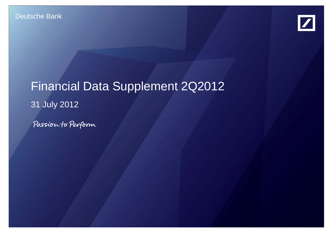

# Financial Data Supplement 2Q2012 31 July 2012

Passion to Perform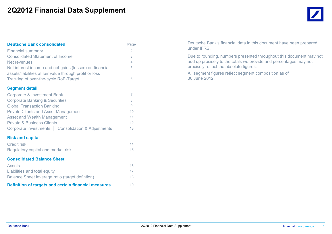### **2Q2012 Financial Data Supplement**

| <b>Deutsche Bank consolidated</b>                                                                                  | Page           |
|--------------------------------------------------------------------------------------------------------------------|----------------|
| <b>Financial summary</b>                                                                                           | 2              |
| <b>Consolidated Statement of Income</b>                                                                            | 3              |
| Net revenues                                                                                                       | 4              |
| Net interest income and net gains (losses) on financial<br>assets/liabilities at fair value through profit or loss | 5              |
| Tracking of over-the-cycle RoE-Target                                                                              | 6              |
| <b>Segment detail</b>                                                                                              |                |
| <b>Corporate &amp; Investment Bank</b>                                                                             | $\overline{7}$ |
| <b>Corporate Banking &amp; Securities</b>                                                                          | 8              |
| <b>Global Transaction Banking</b>                                                                                  | 9              |
| <b>Private Clients and Asset Management</b>                                                                        | 10             |
| <b>Asset and Wealth Management</b>                                                                                 | 11             |
| <b>Private &amp; Business Clients</b>                                                                              | 12             |
| Corporate Investments   Consolidation & Adjustments                                                                | 13             |
| <b>Risk and capital</b>                                                                                            |                |
| <b>Credit risk</b>                                                                                                 | 14             |
| Regulatory capital and market risk                                                                                 | 15             |
| <b>Consolidated Balance Sheet</b>                                                                                  |                |
| Assets                                                                                                             | 16             |
| Liabilities and total equity                                                                                       | 17             |
| Balance Sheet leverage ratio (target defintion)                                                                    | 18             |
| Definition of targets and certain financial measures                                                               | 19             |

Deutsche Bank's financial data in this document have been prepared under IFRS.

Due to rounding, numbers presented throughout this document may not add up precisely to the totals we provide and percentages may not precisely reflect the absolute figures.

All segment figures reflect segment composition as of 30 June 2012.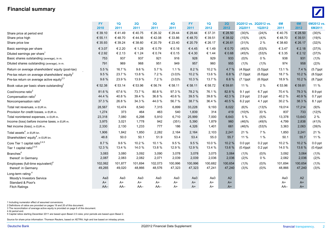#### **Financial summary**



|                                                             | <b>FY</b> | 1Q      | 2Q      | 3Q      | 4Q        | <b>FY</b> | 1Q      | 2Q      |               | 2Q2012 vs. 2Q2012 vs. | 6M      | 6M      | 6M2012 vs.  |
|-------------------------------------------------------------|-----------|---------|---------|---------|-----------|-----------|---------|---------|---------------|-----------------------|---------|---------|-------------|
|                                                             | 2010      | 2011    | 2011    | 2011    | 2011      | 2011      | 2012    | 2012    | <b>2Q2011</b> | 1Q2012                | 2011    | 2012    | 6M2011      |
| Share price at period end                                   | € 39.10   | €41.49  | €40.75  | € 26.32 | € 29.44   | € 29.44   | € 37.31 | € 28.50 | (30)%         | (24)%                 | €40.75  | € 28.50 | (30)%       |
| Share price high                                            | € 55.11   | €48.70  | €44.56  | €42.08  | € 33.86   | €48.70    | € 39.51 | € 38.02 | (15)%         | (4)%                  | €48.70  | € 39.51 | (19)%       |
| Share price low                                             | € 35.93   | € 39.24 | € 38.60 | € 20.79 | € 23.40   | € 20.79   | € 26.17 | € 26.61 | (31)%         | 2%                    | € 38.60 | € 26.17 | (32)%       |
| Basic earnings per share                                    | € 3.07    | € 2.20  | € 1.28  | € 0.79  | € 0.16    | €4.45     | € 1.49  | € 0.70  | (45)%         | (53)%                 | € 3.47  | € 2.18  | (37)%       |
| Diluted earnings per share <sup>1</sup>                     | € 2.92    | € 2.13  | € 1.24  | € 0.74  | € 0.15    | €4.30     | € 1.44  | € 0.68  | (45)%         | (53)%                 | € 3.35  | € 2.12  | (37)%       |
| Basic shares outstanding (average), in m.                   | 753       | 937     | 937     | 921     | 916       | 928       | 929     | 933     | $(0)\%$       | $0\%$                 | 938     | 931     | (1)%        |
| Diluted shares outstanding (average), in m.                 | 791       | 969     | 968     | 951     | 949       | 957       | 960     | 955     | (1)%          | (1)%                  | 974     | 958     | (2)%        |
| Return on average shareholders' equity (post-tax)           | 5.5 %     | 16.7%   | 9.6%    | 5.7%    | 1.1%      | 8.2%      | 10.2 %  | 4.7 %   | $(4.9)$ ppt   | $(5.5)$ ppt           | 13.1 %  | 7.4 %   | $(5.7)$ ppt |
| Pre-tax return on average shareholders' equity <sup>2</sup> | 9.5 %     | 23.7 %  | 13.8 %  | 7.2%    | (3.0)%    | 10.2 %    | 13.6 %  | 6.8%    | $(7.0)$ ppt   | $(6.8)$ ppt           | 18.7%   | 10.2 %  | $(8.5)$ ppt |
| Pre-tax return on average active equity <sup>2,3</sup>      | 9.6%      | 23.9%   | 13.9%   | 7.2%    | $(3.0)\%$ | 10.3 %    | 13.7 %  | 6.8%    | $(7.1)$ ppt   | $(6.9)$ ppt           | 18.9%   | 10.2 %  | $(8.7)$ ppt |
| Book value per basic share outstanding <sup>2</sup>         | € 52.38   | € 53.14 | € 53.96 | € 56.74 | € 58.11   | € 58.11   | € 58.72 | € 59.81 | 11 %          | 2 %                   | € 53.96 | € 59.81 | 11 %        |
| Cost/income ratio <sup>2</sup>                              | 81.6%     | 67.6%   | 73.7%   | 80.8%   | 97.3%     | 78.2 %    | 76.1%   | 82.8%   | 9.1 ppt       | 6.7 ppt               | 70.4%   | 79.3 %  | 8.9 ppt     |
| Compensation ratio <sup>2</sup>                             | 44.4 %    | 40.8%   | 39.4 %  | 36.8%   | 40.6%     | 39.5 %    | 39.8%   | 42.3%   | $2.9$ ppt     | $2.5$ ppt             | 40.2%   | 40.9%   | $0.7$ ppt   |
| Noncompensation ratio <sup>2</sup>                          | 37.3 %    | 26.8%   | 34.3 %  | 44.0%   | 56.7%     | 38.7 %    | 36.4 %  | 40.5%   | 6.2 ppt       | 4.1 ppt               | 30.2%   | 38.3 %  | 8.1 ppt     |
| Total net revenues, in EUR m.                               | 28,567    | 10,474  | 8,540   | 7,315   | 6,899     | 33,228    | 9,193   | 8,022   | (6)%          | (13)%                 | 19,014  | 17,214  | (9)%        |
| Provision for credit losses, in EUR m.                      | 1,274     | 373     | 464     | 463     | 540       | 1,839     | 314     | 419     | (10)%         | 33 %                  | 837     | 733     | (12)%       |
| Total noninterest expenses, in EUR m.                       | 23,318    | 7,080   | 6,298   | 5,910   | 6,710     | 25,999    | 7,000   | 6,643   | 5 %           | (5)%                  | 13,378  | 13,643  | 2%          |
| Income (loss) before income taxes, in EUR m.                | 3,975     | 3,021   | 1,778   | 942     | (351)     | 5,390     | 1,879   | 960     | (46)%         | (49)%                 | 4,799   | 2,838   | (41)%       |
| Net income (loss), in EUR m.                                | 2,330     | 2,130   | 1,233   | 777     | 186       | 4,326     | 1,401   | 661     | (46)%         | (53)%                 | 3,363   | 2,063   | (39)%       |
| Total assets <sup>4</sup> , in EUR bn.                      | 1,906     | 1,842   | 1,850   | 2,282   | 2,164     | 2,164     | 2,103   | 2,241   | 21 %          | 7 %                   | 1,850   | 2,241   | 21 %        |
| Shareholders' equity <sup>4</sup> , in EUR bn.              | 48.8      | 50.0    | 50.1    | 51.9    | 53.4      | 53.4      | 55.0    | 55.7    | 11 %          | 1%                    | 50.1    | 55.7    | 11 %        |
| Core Tier 1 capital ratio <sup>2,4,5</sup>                  | 8.7%      | 9.6%    | 10.2 %  | 10.1%   | 9.5%      | 9.5 %     | 10.0%   | 10.2 %  | $0.0$ ppt     | $0.2$ ppt             | 10.2%   | 10.2%   | $0.0$ ppt   |
| Tier 1 capital ratio <sup>2,4,5</sup>                       | 12.3 %    | 13.4 %  | 14.0%   | 13.8%   | 12.9%     | 12.9 %    | 13.4 %  | 13.6 %  | $(0.4)$ ppt   | $0.2$ ppt             | 14.0%   | 13.6%   | $(0.4)$ ppt |
| Branches <sup>4</sup>                                       | 3,083     | 3,080   | 3,092   | 3,090   | 3,078     | 3,078     | 3,075   | 3,064   | (1)%          | (0)%                  | 3,092   | 3,064   | (1)%        |
| thereof: in Germany                                         | 2,087     | 2,083   | 2,082   | 2,071   | 2,039     | 2,039     | 2,036   | 2,036   | (2)%          | $0\%$                 | 2,082   | 2,036   | (2)%        |
| Employees (full-time equivalent) <sup>4</sup>               | 102,062   | 101,877 | 101,694 | 102,073 | 100,996   | 100,996   | 100,682 | 100,654 | (1)%          | $(0)\%$               | 101,694 | 100,654 | (1)%        |
| thereof: in Germany                                         | 49,265    | 49,020  | 48,866  | 48,576  | 47,323    | 47,323    | 47,241  | 47,240  | (3)%          | $(0)\%$               | 48,866  | 47,240  | (3)%        |
| Long-term rating: <sup>4</sup>                              |           |         |         |         |           |           |         |         |               |                       |         |         |             |
| Moody's Investors Service                                   | Aa3       | Aa3     | Aa3     | Aa3     | Aa3       | Aa3       | Aa3     | A2      |               |                       | Aa3     | A2      |             |
| Standard & Poor's                                           | $A+$      | $A+$    | $A+$    | $A+$    | $A+$      | $A+$      | $A+$    | $A+$    |               |                       | $A+$    | $A+$    |             |
| <b>Fitch Ratings</b>                                        | $AA-$     | AA–     | $AA-$   | $AA-$   | A+        | A+        | A+      | $A+$    |               |                       | $AA-$   | $A+$    |             |

1 Including numerator effect of assumed conversions.

2 Definitions of ratios are provided on pages 19 and 20 of this document.

3 The reconciliation of average active equity is provided on page 6 of this document.

4 At period end.

5 Capital ratios starting December 2011 are based upon Basel 2.5 rules; prior periods are based upon Basel 2.

Source for share price information: Thomson Reuters, based on XETRA; high and low based on intraday prices.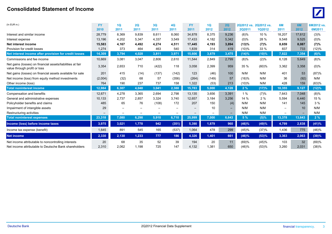#### **Consolidated Statement of Income** $\theta$  and the contract of  $\theta$  and  $\theta$  and  $\theta$  and  $\theta$  and  $\theta$  and  $\theta$  and  $\theta$  and  $\theta$  and  $\theta$  and  $\theta$  and  $\theta$  and  $\theta$  and  $\theta$  and  $\theta$  and  $\theta$  and  $\theta$  and  $\theta$  and  $\theta$  and  $\theta$  and  $\theta$  and  $\theta$  and  $\theta$  an



| (In EUR m.)                                                                                                  | <b>FY</b>   | 1Q          | 2Q          | 3Q              | <b>4Q</b>         | FY.                      | 1Q                | 2Q                |                | 202012 vs. 202012 vs. | 6M                       | 6M          | 6M2012 vs.     |
|--------------------------------------------------------------------------------------------------------------|-------------|-------------|-------------|-----------------|-------------------|--------------------------|-------------------|-------------------|----------------|-----------------------|--------------------------|-------------|----------------|
|                                                                                                              | 2010        | 2011        | 2011        | 2011            | 2011              | 2011                     | 2012              | 2012              | 2Q2011         | 1Q2012                | 2011                     | 2012        | 6M2011         |
| Interest and similar income                                                                                  | 28,779      | 8,369       | 9,839       | 8,611           | 8,060             | 34,878                   | 8,375             | 9,236             | (6)%           | 10 %                  | 18,207                   | 17,612      | (3)%           |
| Interest expense                                                                                             | 13,196      | 4,202       | 5,347       | 4,337           | 3,549             | 17,433                   | 4,182             | 5,342             | $(0)\%$        | 28 %                  | 9,548                    | 9,525       | $(0)\%$        |
| Net interest income                                                                                          | 15,583      | 4,167       | 4,492       | 4,274           | 4,511             | 17,445                   | 4,193             | 3,894             | (13)%          | (7)%                  | 8,659                    | 8,087       | (7)%           |
| Provision for credit losses                                                                                  | 1,274       | 373         | 464         | 463             | 540               | 1,839                    | 314               | 419               | (10)%          | 33 %                  | 837                      | 733         | (12)%          |
| Net interest income after provision for credit losses                                                        | 14,309      | 3,794       | 4.028       | 3,811           | 3,971             | 15,606                   | 3,879             | 3,475             | (14)%          | (10)%                 | 7,822                    | 7,354       | $(6)\%$        |
| Commissions and fee income                                                                                   | 10,669      | 3,081       | 3,047       | 2,806           | 2,610             | 11,544                   | 2,849             | 2,799             | (8)%           | (2)%                  | 6,128                    | 5,649       | $(8)\%$        |
| Net gains (losses) on financial assets/liabilities at fair<br>value through profit or loss                   | 3,354       | 2,653       | 710         | (422)           | 118               | 3,058                    | 2,399             | 959               | 35 %           | (60)%                 | 3,362                    | 3,358       | $(0)\%$        |
| Net gains (losses) on financial assets available for sale                                                    | 201         | 415         | (14)        | (137)           | (142)             | 123                      | (46)              | 100               | N/M            | N/M                   | 401                      | 53          | (87)%          |
| Net income (loss) from equity method investments                                                             | (2,004)     | (32)        | 68          | 57              | (356)             | (264)                    | (149)             | 57                | (16)%          | N/M                   | 36                       | (92)        | N/M            |
| Other income (loss)                                                                                          | 764         | 190         | 237         | 737             | 158               | 1,322                    | (53)              | 213               | (10)%          | N/M                   | 428                      | 159         | (63)%          |
| <b>Total noninterest income</b>                                                                              | 12,984      | 6,307       | 4,048       | 3,041           | 2,388             | 15,783                   | 5,000             | 4,128             | 2%             | (17)%                 | 10,355                   | 9,127       | (12)%          |
| Compensation and benefits                                                                                    | 12,671      | 4,278       | 3,365       | 2,694           | 2,798             | 13,135                   | 3,656             | 3,391             | 1%             | (7)%                  | 7,643                    | 7.048       | $(8)\%$        |
| General and administrative expenses                                                                          | 10,133      | 2,737       | 2,857       | 3.324           | 3.740             | 12,657                   | 3,184             | 3,256             | 14 %           | 2%                    | 5,594                    | 6,440       | 15 %           |
| Policyholder benefits and claims                                                                             | 485         | 65          | 76          | (108)           | 172               | 207                      | 150               | (4)               | N/M            | N/M                   | 141                      | 145         | 3%             |
| Impairment of intangible assets                                                                              | 29          |             |             |                 | —                 | $\overline{\phantom{m}}$ | 10                | $\qquad \qquad -$ | N/M            | N/M                   |                          | 10          | N/M            |
| Restructuring activities                                                                                     | -           |             |             | $\qquad \qquad$ | $\qquad \qquad -$ | $\qquad \qquad -$        | $\qquad \qquad -$ | $\qquad \qquad$   | N/M            | N/M                   | $\overline{\phantom{0}}$ |             | N/M            |
| <b>Total noninterest expenses</b>                                                                            | 23,318      | 7,080       | 6,298       | 5,910           | 6,710             | 25,999                   | 7,000             | 6,643             | 5%             | (5)%                  | 13,378                   | 13,643      | 2%             |
| Income (loss) before income taxes                                                                            | 3,975       | 3,021       | 1,778       | 942             | (351)             | 5,390                    | 1,879             | 960               | (46)%          | (49)%                 | 4,799                    | 2,838       | (41)%          |
| Income tax expense (benefit)                                                                                 | 1,645       | 891         | 545         | 165             | (537)             | 1,064                    | 478               | 299               | (45)%          | (37)%                 | 1,436                    | 775         | (46)%          |
| <b>Net income</b>                                                                                            | 2,330       | 2,130       | 1,233       | 777             | 186               | 4,326                    | 1,401             | 661               | (46)%          | (53)%                 | 3,363                    | 2,063       | (39)%          |
| Net income attributable to noncontrolling interests<br>Net income attributable to Deutsche Bank shareholders | 20<br>2,310 | 68<br>2,062 | 35<br>1,198 | 52<br>725       | 39<br>147         | 194<br>4,132             | 20<br>1,381       | 11<br>650         | (69)%<br>(46)% | (45)%<br>(53)%        | 103<br>3,260             | 32<br>2,031 | (69)%<br>(38)% |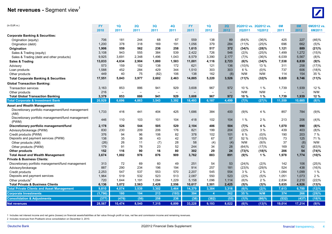## **Net revenues - Segment view<sup>1</sup>**



| (In EUR m.)                                                        | <b>FY</b><br>2010 | 1Q<br>2011               | 2Q<br>2011               | 3Q<br>2011               | 4Q<br>2011               | <b>FY</b><br>2011        | 1Q<br>2012 | 2Q<br>2012               | 2Q2011  | 2Q2012 vs. 2Q2012 vs.<br>1Q2012 | 6M<br>2011               | 6M<br>2012               | 6M2012 vs.<br>6M2011 |
|--------------------------------------------------------------------|-------------------|--------------------------|--------------------------|--------------------------|--------------------------|--------------------------|------------|--------------------------|---------|---------------------------------|--------------------------|--------------------------|----------------------|
|                                                                    |                   |                          |                          |                          |                          |                          |            |                          |         |                                 |                          |                          |                      |
| <b>Corporate Banking &amp; Securities:</b><br>Origination (equity) | 706               | 181                      | 244                      | 68                       | 67                       | 559                      | 138        | 89                       | (64)%   | (36)%                           | 425                      | 227                      | (46)%                |
|                                                                    | 1,200             | 378                      | 318                      | 169                      | 191                      | 1,056                    | 379        | 284                      | (11)%   | (25)%                           | 696                      | 662                      | (5)%                 |
| Origination (debt)                                                 |                   |                          |                          |                          |                          |                          |            |                          |         |                                 |                          |                          |                      |
| Origination                                                        | 1,906             | 559                      | 562                      | 236                      | 258                      | 1,615                    | 517        | 372                      | (34)%   | (28)%                           | 1,121                    | 889                      | (21)%                |
| Sales & Trading (equity)                                           | 3,108             | 943                      | 555                      | 384                      | 539                      | 2,422                    | 726        | 546                      | (2)%    | (25)%                           | 1,499                    | 1,272                    | (15)%                |
| Sales & Trading (debt and other products)                          | 9,925             | 3,691                    | 2,348                    | 1,496                    | 1,043                    | 8,579                    | 3,390      | 2,177                    | (7)%    | (36)%                           | 6,039                    | 5,567                    | (8)%                 |
| Sales & Trading                                                    | 13,033            | 4,634                    | 2,904                    | 1,880                    | 1,583                    | 11,001                   | 4,116      | 2,723                    | $(6)\%$ | (34)%                           | 7,538                    | 6,839                    | (9)%                 |
| Advisory                                                           | 573               | 159                      | 152                      | 138                      | 172                      | 621                      | 121        | 136                      | (10)%   | 13 %                            | 311                      | 258                      | (17)%                |
| Loan products                                                      | 1,588             | 452                      | 284                      | 429                      | 344                      | 1,510                    | 303        | 303                      | 6 %     | (0)%                            | 737                      | 606                      | (18)%                |
| Other products                                                     | 449               | 40                       | 75                       | (82)                     | 106                      | 138                      | 162        | (8)                      | N/M     | N/M                             | 114                      | 154                      | 35 %                 |
| <b>Total Corporate Banking &amp; Securities</b>                    | 17,551            | 5,843                    | 3,977                    | 2,602                    | 2,463                    | 14,885                   | 5,220      | 3,526                    | (11)%   | (32)%                           | 9,820                    | 8,746                    | (11)%                |
| <b>Global Transaction Banking:</b>                                 |                   |                          |                          |                          |                          |                          |            |                          |         |                                 |                          |                          |                      |
| <b>Transaction services</b>                                        | 3,163             | 853                      | 886                      | 941                      | 929                      | 3,608                    | 967        | 972                      | 10 %    | 1%                              | 1,739                    | 1,939                    | 12 %                 |
| Other products                                                     | 216               | $\overline{\phantom{0}}$ | $\overline{\phantom{a}}$ | $\overline{\phantom{0}}$ | $\overline{\phantom{0}}$ | $\overline{\phantom{m}}$ |            | $\overline{\phantom{0}}$ | N/M     | N/M                             | $\overline{\phantom{m}}$ | $\overline{\phantom{0}}$ | N/M                  |
| <b>Total Global Transaction Banking</b>                            | 3,379             | 853                      | 886                      | 941                      | 929                      | 3,608                    | 967        | 972                      | 10 %    | 1%                              | 1,739                    | 1,939                    | 12%                  |
| <b>Total Corporate &amp; Investment Bank</b>                       | 20,929            | 6,696                    | 4,863                    | 3,543                    | 3,392                    | 18,493                   | 6,187      | 4,499                    | (7)%    | (27)%                           | 11,559                   | 10,685                   | $(8)\%$              |
| <b>Asset and Wealth Management:</b>                                |                   |                          |                          |                          |                          |                          |            |                          |         |                                 |                          |                          |                      |
| Discretionary portfolio management/fund management                 | 1,733             | 416                      | 441                      | 404                      | 425                      | 1,686                    | 384        | 400                      | (9)%    | 4 %                             | 857                      | 784                      | (9)%                 |
| (AM)                                                               |                   |                          |                          |                          |                          |                          |            |                          |         |                                 |                          |                          |                      |
| Discretionary portfolio management/fund management<br>(PWM)        | 446               | 110                      | 103                      | 101                      | 104                      | 418                      | 102        | 104                      | 1%      | 2%                              | 213                      | 206                      | (4)%                 |
| Discretionary portfolio management/fund                            | 2,178             | 526                      | 544                      | 505                      | 529                      | 2,104                    | 486        | 504                      | (7)%    | 4 %                             | 1,070                    | 990                      | (8)%                 |
| Advisory/brokerage (PWM)                                           | 830               | 230                      | 209                      | 206                      | 176                      | 821                      | 199        | 204                      | (2)%    | 3 %                             | 439                      | 403                      | (8)%                 |
| Credit products (PWM)                                              | 376               | 94                       | 96                       | 106                      | 82                       | 378                      | 102        | 101                      | 6 %     | $(0)\%$                         | 190                      | 203                      | 7%                   |
| Deposits and payment services (PWM)                                | 138               | 35                       | 38                       | 43                       | 42                       | 157                      | 67         | 57                       | 52 %    | (15)%                           | 73                       | 125                      | 71 %                 |
| Other products (AM)                                                | (26)              | 26                       | 11                       | (7)                      | 28                       | 58                       | (4)        | (4)                      | N/M     | (9)%                            | 37                       | (8)                      | N/M                  |
| Other products (PWM)                                               | 179               | 91                       | 78                       | 23                       | 52                       | 244                      | 34         | 28                       | (64)%   | (17)%                           | 169                      | 62                       | (63)%                |
| <b>Other products</b>                                              | 152               | 116                      | 90                       | 16                       | 80                       | 302                      | 29         | 24                       | (73)%   | (18)%                           | 206                      | 54                       | (74)%                |
| <b>Total Asset and Wealth Management</b>                           | 3,674             | 1,002                    | 976                      | 876                      | 909                      | 3,762                    | 883        | 891                      | (9)%    | 1%                              | 1,978                    | 1,774                    | (10)%                |
| <b>Private &amp; Business Clients:</b>                             |                   |                          |                          |                          |                          |                          |            |                          |         |                                 |                          |                          |                      |
| Discretionary portfolio management/fund management                 | 313               | 72                       | 69                       | 60                       | 49                       | 251                      | 54         | 53                       | (24)%   | (2)%                            | 142                      | 106                      | (25)%                |
| Advisory/brokerage                                                 | 887               | 290                      | 234                      | 196                      | 194                      | 914                      | 257        | 181                      | (23)%   | (29)%                           | 524                      | 438                      | (16)%                |
| Credit products                                                    | 2,253             | 547                      | 537                      | 553                      | 570                      | 2,207                    | 545        | 554                      | 3%      | 2%                              | 1,084                    | 1,099                    | 1%                   |
| Deposits and payment services                                      | 1,964             | 519                      | 532                      | 523                      | 513                      | 2,087                    | 550        | 523                      | (2)%    | (5)%                            | 1,051                    | 1,073                    | 2 %                  |
| Other products <sup>2</sup>                                        | 720               | 1,644                    | 1,191                    | 1,094                    | 1,229                    | 5,158                    | 1,096      | 1,114                    | (6)%    | 2%                              | 2,834                    | 2,210                    | (22)%                |
| <b>Total Private &amp; Business Clients</b>                        | 6,136             | 3,072                    | 2,563                    | 2,426                    | 2,556                    | 10,617                   | 2,501      | 2,425                    | (5)%    | (3)%                            | 5,635                    | 4,926                    | (13)%                |
| <b>Total Private Clients and Asset Management</b>                  | 9,810             | 4,074                    | 3,539                    | 3,302                    | 3,464                    | 14,379                   | 3,384      | 3,316                    | (6)%    | $(2)\%$                         | 7,613                    | 6,700                    | (12)%                |
| <b>Corporate Investments</b>                                       | (1,796)           | 180                      | 194                      | 213                      | (193)                    | 394                      | 4          | 262                      | 35 %    | N/M                             | 374                      | 266                      | (29)%                |
| <b>Consolidation &amp; Adjustments</b>                             | (377)             | (476)                    | (56)                     | 258                      | 236                      | (38)                     | (382)      | (55)                     | (1)%    | (86)%                           | (532)                    | (437)                    | (18)%                |
| <b>Net revenues</b>                                                | 28,567            | 10,474                   | 8,540                    | 7,315                    | 6,899                    | 33,228                   | 9,193      | 8,022                    | (6)%    | (13)%                           | 19,014                   | 17,214                   | (9)%                 |

1 Includes net interest income and net gains (losses) on financial assets/liabilities at fair value through profit or loss, net fee and commission income and remaining revenues.

2 Includes revenues from Postbank since consolidation on December 3, 2010.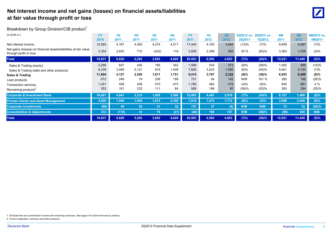#### **Net interest income and net gains (losses) on financial assets/liabilities at fair value through profit or loss** <sup>0</sup>

#### Breakdown by Group Division/CIB product<sup>1</sup>

| (In EUR m.)                                                                                | <b>FY</b> | 1Q    | 2Q              | 3Q              | 4Q              | FY     | 1Q    | 2Q    | 2Q2012 vs. | 2Q2012 vs.    | 6M     | 6M     | 6M2012 vs. |
|--------------------------------------------------------------------------------------------|-----------|-------|-----------------|-----------------|-----------------|--------|-------|-------|------------|---------------|--------|--------|------------|
|                                                                                            | 2010      | 2011  | 2011            | 2011            | 2011            | 2011   | 2012  | 2012  | 2Q2011     | <b>1Q2012</b> | 2011   | 2012   | 6M2011     |
| Net interest income                                                                        | 15,583    | 4,167 | 4,492           | 4,274           | 4,511           | 17,445 | 4,193 | 3,894 | (13)%      | (7)%          | 8,659  | 8,087  | (7)%       |
| Net gains (losses) on financial assets/liabilities at fair value<br>through profit or loss | 3,354     | 2,653 | 710             | (422)           | 118             | 3,058  | 2,399 | 959   | 35 %       | (60)%         | 3,362  | 3,358  | $(0)\%$    |
| <b>Total</b>                                                                               | 18,937    | 6,820 | 5,202           | 3,852           | 4,629           | 20,503 | 6,592 | 4,853 | (7)%       | (26)%         | 12,021 | 11,445 | $(5)\%$    |
| Sales & Trading (equity)                                                                   | 2,266     | 647   | 405             | 195             | 342             | 1,589  | 524   | 373   | (8)%       | (29)%         | 1,052  | 896    | (15)%      |
| Sales & Trading (debt and other products)                                                  | 9,339     | 3,480 | 2,121           | 816             | 1,409           | 7,826  | 3,243 | 1,950 | (8)%       | (40)%         | 5,601  | 5,193  | (7)%       |
| Sales & Trading                                                                            | 11,604    | 4,127 | 2,526           | 1,011           | 1,751           | 9,415  | 3,767 | 2,322 | $(8)\%$    | (38)%         | 6,653  | 6,089  | $(8)\%$    |
| Loan products                                                                              | 672       | 246   | 19              | 236             | 199             | 701    | 54    | 142   | N/M        | 161 %         | 265    | 196    | (26)%      |
| <b>Transaction services</b>                                                                | 1,451     | 408   | 438             | 470             | 473             | 1,788  | 462   | 419   | (4)%       | (9)%          | 845    | 881    | 4 %        |
| Remaining products <sup>2</sup>                                                            | 353       | 161   | 233             | 111             | 84              | 589    | 199   | 95    | (59)%      | (53)%         | 393    | 294    | (25)%      |
| <b>Corporate &amp; Investment Bank</b>                                                     | 14,081    | 4,941 | 3,215           | 1,828           | 2,508           | 12,493 | 4,483 | 2,978 | (7)%       | (34)%         | 8,157  | 7,460  | (9)%       |
| <b>Private Clients and Asset Management</b>                                                | 4,609     | 1,945 | 1,945           | 1,915           | 2,109           | 7,914  | 1,873 | 1,772 | (9)%       | $(5)\%$       | 3,889  | 3,646  | $(6)\%$    |
| <b>Corporate Investments</b>                                                               | (86)      | 44    | 30              | 31              | 32 <sub>2</sub> | 137    | 37    | (4)   | N/M        | N/M           | 73     | 33     | (54)%      |
| <b>Consolidation &amp; Adjustments</b>                                                     | 333       | (110) | 12 <sub>2</sub> | 78 <sup>1</sup> | (21)            | (40)   | 198   | 107   | N/M        | (46)%         | (98)   | 305    | N/M        |
| <b>Total</b>                                                                               | 18,937    | 6,820 | 5,202           | 3,852           | 4,629           | 20,503 | 6,592 | 4,853 | (7)%       | (26)%         | 12,021 | 11,445 | $(5)\%$    |

1 Excludes fee and commission income and remaining revenues. See page 4 for total revenues by product.

2 Covers origination, advisory and other products.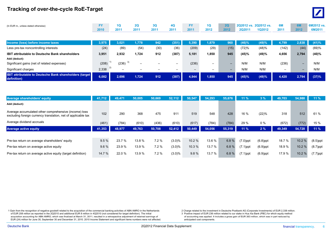#### **Tracking of over-the-cycle RoE-Target**



| (In EUR m., unless stated otherwise)                                          | <b>FY</b><br>2010 | 1Q<br>2011  | <b>2Q</b><br>2011 | 3Q<br>2011 | <b>4Q</b><br>2011        | <b>FY</b><br>2011 | 1Q<br>2012               | 2Q<br>2012               | <b>2Q2011</b> | 2Q2012 vs. 2Q2012 vs.<br><b>1Q2012</b> | 6M<br>2011               | 6M<br>2012               | 6M2012 vs.<br>6M2011 |
|-------------------------------------------------------------------------------|-------------------|-------------|-------------------|------------|--------------------------|-------------------|--------------------------|--------------------------|---------------|----------------------------------------|--------------------------|--------------------------|----------------------|
|                                                                               |                   |             |                   |            |                          |                   |                          |                          |               |                                        |                          |                          |                      |
| Income (loss) before income taxes                                             | 3,975             | 3,021       | 1.778             | 942        | (351)                    | 5,390             | 1.879                    | 960                      | (46)%         | (49)%                                  | 4,799                    | 2,838                    | (41)%                |
| Less pre-tax noncontrolling interests                                         | (24)              | (89)        | (54)              | (30)       | (36)                     | (209)             | (29)                     | (15)                     | (72)%         | (48)%                                  | (142)                    | (44)                     | (69)%                |
| <b>IBIT attributable to Deutsche Bank shareholders</b><br>Add (deduct):       | 3,951             | 2,932       | 1,724             | 912        | (387)                    | 5,181             | 1,850                    | 945                      | (45)%         | (49)%                                  | 4,656                    | 2,794                    | (40)%                |
| Significant gains (net of related expenses)                                   | (208)             | 3)<br>(236) | -                 | -          | $\overline{\phantom{0}}$ | (236)             | $\overline{\phantom{0}}$ | $\overline{\phantom{0}}$ | N/M           | N/M                                    | (236)                    | $\overline{\phantom{0}}$ | N/M                  |
| Significant charges                                                           | 2,338             | -           | —                 |            | —                        | $\qquad \qquad -$ | $\overline{\phantom{a}}$ | $\overline{\phantom{0}}$ | N/M           | N/M                                    | $\overline{\phantom{0}}$ | $\overline{\phantom{0}}$ | N/M                  |
| <b>IBIT attributable to Deutsche Bank shareholders (target</b><br>definition) | 6,082             | 2,696       | 1,724             | 912        | (387)                    | 4,944             | 1,850                    | 945                      | (45)%         | (49)%                                  | 4,420                    | 2,794                    | (37)%                |

| <b>Average shareholders' equity</b>                                                                                    | 41,712 | 49,471 | 50,005 | 50,669 | 52,112    | 50,547 | 54.293 | 55,676 | 11%         | 3%          | 49.703 | 54,988 | $11\%$      |
|------------------------------------------------------------------------------------------------------------------------|--------|--------|--------|--------|-----------|--------|--------|--------|-------------|-------------|--------|--------|-------------|
| Add (deduct):                                                                                                          |        |        |        |        |           |        |        |        |             |             |        |        |             |
| Average accumulated other comprehensive (income) loss<br>excluding foreign currency translation, net of applicable tax | 102    | 290    | 368    | 475    | 911       | 519    | 548    | 428    | 16 %        | (22)%       | 318    | 512    | 61 %        |
| Average dividend accruals                                                                                              | (461)  | (784)  | (610)  | (436)  | (610)     | (617)  | (784)  | (784)  | 29 %        | 0%          | (672)  | (772)  | 15 %        |
| <b>Average active equity</b>                                                                                           | 41,353 | 48,977 | 49,763 | 50,708 | 52,412    | 50,449 | 54,056 | 55,319 | 11%         | 2%          | 49,349 | 54,728 | $11\%$      |
|                                                                                                                        |        |        |        |        |           |        |        |        |             |             |        |        |             |
| Pre-tax return on average shareholders' equity                                                                         | 9.5%   | 23.7 % | 13.8 % | 7.2%   | $(3.0)\%$ | 10.2 % | 13.6 % | 6.8%   | $(7.0)$ ppt | $(6.8)$ ppt | 18.7 % | 10.2%  | $(8.5)$ ppt |
| Pre-tax return on average active equity                                                                                | 9.6%   | 23.9 % | 13.9 % | 7.2%   | $(3.0)\%$ | 10.3%  | 13.7 % | 6.8%   | $(7.1)$ ppt | $(6.9)$ ppt | 18.9%  | 10.2%  | $(8.7)$ ppt |
| Pre-tax return on average active equity (target definition)                                                            | 14.7 % | 22.0 % | 13.9 % | 7.2%   | $(3.0)\%$ | 9.8%   | 13.7 % | 6.8%   | $(7.1)$ ppt | $(6.9)$ ppt | 17.9%  | 10.2%  | $(7.7)$ ppt |

1 Gain from the recognition of negative goodwill related to the acquisition of the commercial banking activities of ABN AMRO in the Netherlands 2 Charge related to the investment in Deutsche Postbank AG (Corporate Investme of EUR 208 million as reported in the 202010 and additional EUR 8 million in 402010 (not considered for target definition). The initial 3 Positive impact of EUR 236 million related to our stake in Hua Xia Bank (PBC) for wh acquisition accounting for ABN AMRO, which was finalized at March 31, 2011, resulted in a retrospective adjustment of retained earnings of of accounting was applied. It includes a gross gain of EUR 263 million, which was i EUR (24) million for June 30, September 30 and December 31, 2010. 2010 Income Statement and significant items numbers were not affected.

Deutsche Bank **2Q2012 Financial Data Supplement** 2Q2012 Financial Data Supplement financial transparency. 6 .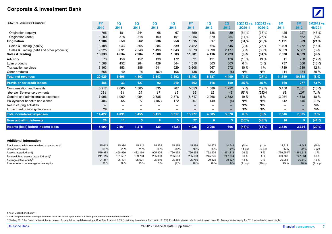#### **Corporate & Investment Bank**



| (In EUR m., unless stated otherwise)              | <b>FY</b>                | 1Q                       | 2Q                       | 3Q                       | 4Q                       | <b>FY</b>         | 1Q                       | 2Q                       |               | 2Q2012 vs. 2Q2012 vs. | 6M                        | 6M                       | 6M2012 vs  |
|---------------------------------------------------|--------------------------|--------------------------|--------------------------|--------------------------|--------------------------|-------------------|--------------------------|--------------------------|---------------|-----------------------|---------------------------|--------------------------|------------|
|                                                   | 2010                     | 2011                     | 2011                     | 2011                     | 2011                     | 2011              | 2012                     | 2012                     | <b>2Q2011</b> | <b>1Q2012</b>         | 2011                      | 2012                     | 6M2011     |
| Origination (equity)                              | 706                      | 181                      | 244                      | 68                       | 67                       | 559               | 138                      | 89                       | (64)%         | (36)%                 | 425                       | 227                      | (46)%      |
| Origination (debt)                                | 1,200                    | 378                      | 318                      | 169                      | 191                      | 1,056             | 379                      | 284                      | (11)%         | (25)%                 | 696                       | 662                      | (5)%       |
| Origination                                       | 1,906                    | 559                      | 562                      | 236                      | 258                      | 1,615             | 517                      | 372                      | (34)%         | (28)%                 | 1,121                     | 889                      | (21)%      |
| Sales & Trading (equity)                          | 3,108                    | 943                      | 555                      | 384                      | 539                      | 2,422             | 726                      | 546                      | (2)%          | (25)%                 | 1,499                     | 1.272                    | (15)%      |
| Sales & Trading (debt and other products)         | 9,925                    | 3,691                    | 2,348                    | 1,496                    | 1,043                    | 8,579             | 3,390                    | 2,177                    | (7)%          | (36)%                 | 6,039                     | 5,567                    | (8)%       |
| Sales & Trading                                   | 13,033                   | 4,634                    | 2,904                    | 1,880                    | 1,583                    | 11,001            | 4,116                    | 2,723                    | $(6)$ %       | (34)%                 | 7,538                     | 6,839                    | (9)%       |
| Advisory                                          | 573                      | 159                      | 152                      | 138                      | 172                      | 621               | 121                      | 136                      | (10)%         | 13 %                  | 311                       | 258                      | (17)%      |
| Loan products                                     | 1,588                    | 452                      | 284                      | 429                      | 344                      | 1,510             | 303                      | 303                      | 6 %           | (0)%                  | 737                       | 606                      | (18)%      |
| <b>Transaction services</b>                       | 3,163                    | 853                      | 886                      | 941                      | 929                      | 3,608             | 967                      | 972                      | 10 %          | 1%                    | 1,739                     | 1,939                    | 12 %       |
| Other products                                    | 665                      | 40                       | 75                       | (82)                     | 106                      | 138               | 162                      | (8)                      | N/M           | N/M                   | 114                       | 154                      | 35 %       |
| <b>Total net revenues</b>                         | 20,929                   | 6.696                    | 4,863                    | 3,543                    | 3,392                    | 18,493            | 6,187                    | 4,499                    | (7)%          | (27)%                 | 11,559                    | 10,685                   | $(8)\%$    |
| <b>Provision for credit losses</b>                | 488                      | 33                       | 127                      | 92                       | 210                      | 462               | 118                      | 159                      | 25 %          | 35 %                  | 160                       | 277                      | 73 %       |
| Compensation and benefits                         | 5,912                    | 2,065                    | 1,385                    | 835                      | 767                      | 5,053             | 1,589                    | 1,292                    | (7)%          | (19)%                 | 3,450                     | 2,881                    | (16)%      |
| therein: Severance payments                       | 284                      | 34                       | 29                       | 17                       | 16                       | 95                | 62                       | 45                       | 55 %          | (28)%                 | 63                        | 107                      | 71 %       |
| General and administrative expenses               | 7,996                    | 1,960                    | 1.994                    | 2,385                    | 2,378                    | 8,717             | 2,266                    | 2,382                    | 19 %          | 5 %                   | 3,954                     | 4,648                    | 18 %       |
| Policyholder benefits and claims                  | 486                      | 65                       | 77                       | (107)                    | 172                      | 207               | 149                      | (4)                      | N/M           | N/M                   | 142                       | 145                      | 2%         |
| Restructuring activities                          | $\overline{\phantom{m}}$ | $\overline{\phantom{0}}$ | $\overline{\phantom{0}}$ | $\overline{\phantom{0}}$ | $\overline{\phantom{0}}$ | $\qquad \qquad$   | $\overline{\phantom{m}}$ | $\overline{\phantom{m}}$ | N/M           | N/M                   |                           | $\overline{\phantom{0}}$ | N/M        |
| Impairment of intangible assets                   | 29                       |                          |                          |                          |                          | $\qquad \qquad -$ |                          |                          | N/M           | N/M                   | $\overline{\phantom{0}}$  |                          | N/M        |
| <b>Total noninterest expenses</b>                 | 14,422                   | 4,091                    | 3,455                    | 3,113                    | 3,317                    | 13,977            | 4,005                    | 3,670                    | 6 %           | (8)%                  | 7,546                     | 7,675                    | 2%         |
| <b>Noncontrolling interests</b>                   | 20                       | 11                       | 5 <sup>5</sup>           | 8                        | 3                        | 27                | 6                        | 3 <sup>2</sup>           | (36)%         | (48)%                 | 16                        | 9                        | (41)%      |
| Income (loss) before income taxes                 | 5,999                    | 2,561                    | 1,275                    | 329                      | (138)                    | 4,028             | 2,058                    | 666                      | (48)%         | (68)%                 | 3,836                     | 2,724                    | (29)%      |
|                                                   |                          |                          |                          |                          |                          |                   |                          |                          |               |                       |                           |                          |            |
| <b>Additional information</b>                     |                          |                          |                          |                          |                          |                   |                          |                          |               |                       |                           |                          |            |
| Employees (full-time equivalent, at period end)   | 15,613                   | 15,394                   | 15,312                   | 15,365                   | 15,186                   | 15,186            | 14,672                   | 14,542                   | (5)%          | (1)%                  | 15,312                    | 14,542                   | (5)%       |
| Cost/income ratio                                 | 69 %                     | 61 %                     | 71 %                     | 88 %                     | 98 %                     | 76 %              | 65 %                     | 82 %                     | 11 ppt        | 17 ppt                | 65 %                      | 72 %                     | 7 ppt      |
| Assets (at period end)                            | 1,519,983                | 1,458,950                | 1,482,160                | 1,905,905                | 1,796,954                | 1,796,954         | 1,732,405                | 1,861,218                | 26 %          | 7 %                   | $1,796,954$ <sup>1)</sup> | 1,861,218                | 4 %        |
| Risk-weighted assets (at period end) <sup>2</sup> | 211,115                  | 191,537                  | 189,768                  | 205,033                  | 255,698                  | 255,698           | 245,276                  | 247,334                  | 30 %          | 1%                    | 189,768                   | 247,334                  | 30 %       |
| Average active equity <sup>3</sup>                | 21,357                   | 26,401                   | 25,671                   | 25,510                   | 25,554                   | 25,786            | 29,825                   | 30,327                   | 18 %          | 2%                    | 26,063                    | 30,140                   | 16 %       |
| Pre-tax return on average active equity           | 28 %                     | 39 %                     | 20 %                     | 5 %                      | (2)%                     | 16 %              | 28 %                     | 9 %                      | $(11)$ ppt    | $(19)$ ppt            | 29 %                      | 18 %                     | $(11)$ ppt |

1 As of December 31, 2011.

2 Risk weighted assets starting December 2011 are based upon Basel 2.5 rules; prior periods are based upon Basel 2.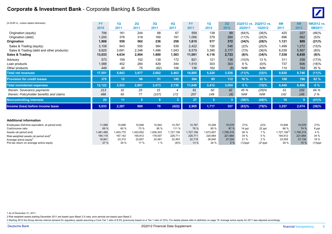#### **Corporate & Investment Bank - Corporate Banking & Securities**



| (In EUR m., unless stated otherwise)              | <b>FY</b> | 1Q        | 2Q             | 3Q        | 4Q        | <b>FY</b> | 10        | 2Q        |            | 2Q2012 vs. 2Q2012 vs. | 6M              | <b>6M</b> | 6M2012 vs. |
|---------------------------------------------------|-----------|-----------|----------------|-----------|-----------|-----------|-----------|-----------|------------|-----------------------|-----------------|-----------|------------|
|                                                   | 2010      | 2011      | 2011           | 2011      | 2011      | 2011      | 2012      | 2012      | 2Q2011     | 1Q2012                | 2011            | 2012      | 6M2011     |
| Origination (equity)                              | 706       | 181       | 244            | 68        | 67        | 559       | 138       | 89        | (64)%      | (36)%                 | 425             | 227       | (46)%      |
| Origination (debt)                                | 1,200     | 378       | 318            | 169       | 191       | 1,056     | 379       | 284       | (11)%      | (25)%                 | 696             | 662       | (5)%       |
| Origination                                       | 1,906     | 559       | 562            | 236       | 258       | 1,615     | 517       | 372       | (34)%      | (28)%                 | 1,121           | 889       | (21)%      |
| Sales & Trading (equity)                          | 3,108     | 943       | 555            | 384       | 539       | 2,422     | 726       | 546       | (2)%       | (25)%                 | 1,499           | 1,272     | (15)%      |
| Sales & Trading (debt and other products)         | 9,925     | 3,691     | 2,348          | 1,496     | 1.043     | 8,579     | 3,390     | 2,177     | (7)%       | (36)%                 | 6,039           | 5,567     | (8)%       |
| Sales & Trading                                   | 13,033    | 4,634     | 2,904          | 1,880     | 1,583     | 11,001    | 4,116     | 2,723     | $(6)\%$    | (34)%                 | 7,538           | 6,839     | (9)%       |
| Advisory                                          | 573       | 159       | 152            | 138       | 172       | 621       | 121       | 136       | (10)%      | 13 %                  | 311             | 258       | (17)%      |
| Loan products                                     | 1,588     | 452       | 284            | 429       | 344       | 1.510     | 303       | 303       | 6 %        | $(0)\%$               | 737             | 606       | (18)%      |
| Other products                                    | 449       | 40        | 75             | (82)      | 106       | 138       | 162       | (8)       | N/M        | N/M                   | 114             | 154       | 35 %       |
| <b>Total net revenues</b>                         | 17,551    | 5,843     | 3,977          | 2,602     | 2,463     | 14,885    | 5,220     | 3,526     | $(11)\%$   | (32)%                 | 9,820           | 8,746     | $(11)\%$   |
| <b>Provision for credit losses</b>                | 375       | 12        | 96             | 51        | 145       | 304       | 85        | 112       | 16 %       | 32 %                  | 108             | 196       | 82 %       |
| <b>Total noninterest expenses</b>                 | 12,122    | 3,533     | 2,907          | 2,473     | 2,736     | 11,649    | 3,412     | 3,054     | 5%         | (10)%                 | 6,440           | 6,466     | 0%         |
| therein: Severance payments                       | 213       | 32        | 29             | 15        | 4         | 81        | 60        | 42        | 45 %       | (29)%                 | 61              | 102       | 66 %       |
| therein: Policyholder benefits and claims         | 486       | 65        | 77             | (107)     | 172       | 207       | 149       | (4)       | N/M        | N/M                   | 142             | 145       | 2 %        |
| <b>Noncontrolling interests</b>                   | 20        | 11        | 5 <sub>5</sub> | 8         | 3         | 27        | 6         | -3        | $(36)\%$   | (48)%                 | 16              | 9         | (41)%      |
| Income (loss) before income taxes                 | 5,033     | 2,287     | 969            | 70        | (422)     | 2,905     | 1,717     | 357       | (63)%      | (79)%                 | 3,257           | 2,074     | (36)%      |
|                                                   |           |           |                |           |           |           |           |           |            |                       |                 |           |            |
| <b>Additional information</b>                     |           |           |                |           |           |           |           |           |            |                       |                 |           |            |
| Employees (full-time equivalent, at period end)   | 11,089    | 10,899    | 10,846         | 10,942    | 10,767    | 10,767    | 10,258    | 10,079    | (7)%       | (2)%                  | 10,846          | 10,079    | (7)%       |
| Cost/income ratio                                 | 69 %      | 60 %      | 73 %           | 95 %      | 111 %     | 78 %      | 65 %      | 87 %      | 14 ppt     | 22 ppt                | 66 %            | 74 %      | 8 ppt      |
| Assets (at period end)                            | 1,461,495 | 1,403,775 | .422,652       | 1,836,303 | 1,727,156 | 1,727,156 | 1,673,607 | 1,790,315 | 26 %       | 7 %                   | $1,727,156^{1}$ | 1,790,315 | 4 %        |
| Risk-weighted assets (at period end) <sup>2</sup> | 184,119   | 167,142   | 164,812        | 178,007   | 228,711   | 228,711   | 220,664   | 221,664   | 34 %       | $0\%$                 | 164,812         | 221,664   | 34 %       |
| Average active equity <sup>3</sup>                | 18,941    | 23,310    | 22,657         | 22,481    | 22,453    | 22,718    | 26,840    | 27,324    | 21 %       | 2%                    | 23,009          | 27,134    | 18 %       |
| Pre-tax return on average active equity           | 27 %      | 39 %      | 17 %           | 1%        | $(8)\%$   | 13 %      | 26 %      | 5 %       | $(12)$ ppt | $(21)$ ppt            | 28 %            | 15 %      | $(13)$ ppt |

1 As of December 31, 2011.

2 Risk weighted assets starting December 2011 are based upon Basel 2.5 rules; prior periods are based upon Basel 2.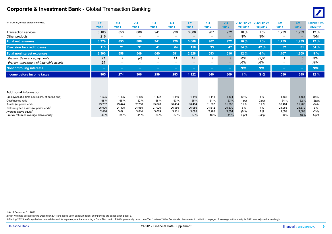#### **Corporate & Investment Bank** - Global Transaction Banking <sup>0</sup>



| (In EUR m., unless stated otherwise)                                           | <b>FY</b><br>2010 | 1Q<br>2011      | 2Q<br>2011               | 3Q<br>2011                      | 4Q<br>2011                      | <b>FY</b><br>2011                 | 1Q<br>2012                      | 2Q<br>2012                        | 2Q2012 vs.<br>2Q2011 | 2Q2012 vs.<br><b>1Q2012</b> | 6M<br>2011                        | 6M<br>2012                        | 6M2012 vs.<br>6M2011 |
|--------------------------------------------------------------------------------|-------------------|-----------------|--------------------------|---------------------------------|---------------------------------|-----------------------------------|---------------------------------|-----------------------------------|----------------------|-----------------------------|-----------------------------------|-----------------------------------|----------------------|
| <b>Transaction services</b><br>Other products                                  | 3,163<br>216      | 853             | 886<br>$\qquad \qquad -$ | 941<br>$\overline{\phantom{a}}$ | 929<br>$\overline{\phantom{0}}$ | 3,608<br>$\overline{\phantom{0}}$ | 967<br>$\overline{\phantom{m}}$ | 972<br>$\overline{\phantom{m}}$   | 10 %<br>N/M          | 1%<br>N/M                   | 1,739<br>$\overline{\phantom{m}}$ | 1,939<br>$\overline{\phantom{0}}$ | 12 %<br>N/M          |
| <b>Total net revenues</b>                                                      | 3,379             | 853             | 886                      | 941                             | 929                             | 3,608                             | 967                             | 972                               | 10 %                 | 1%                          | 1,739                             | 1,939                             | 12 %                 |
| <b>Provision for credit losses</b>                                             | 113               | 21              | 31                       | 41                              | 64                              | 158                               | 33                              | 47 <sub>l</sub>                   | 54 %                 | 42 %                        | 52                                | 81                                | 54 %                 |
| <b>Total noninterest expenses</b>                                              | 2,300             | 558             | 549                      | 640                             | 581                             | 2,328                             | 593                             | 616                               | 12 %                 | 4 %                         | 1,107                             | 1,209                             | 9%                   |
| therein: Severance payments<br>therein: Impairment of intangible assets        | 71<br>29          | 2               | (0)                      | 2                               | 11<br>-                         | 14<br>$\overline{\phantom{0}}$    | 3<br>$-$                        | 3<br>$\qquad \qquad \blacksquare$ | N/M<br>N/M           | (7)%<br>N/M                 | $\overline{\phantom{0}}$          | 5                                 | N/M<br>N/M           |
| <b>Noncontrolling interests</b>                                                | -                 | $\sim$          | -                        | -                               | $\sim$                          | $\sim$                            | $\sim$                          | $\sim$                            | N/M                  | N/M                         | $\equiv$                          | $\sim$                            | N/M                  |
| Income before income taxes                                                     | 965               | 274             | 306                      | 259                             | 283                             | 1,122                             | 340                             | 309                               | 1%                   | (9)%                        | 580                               | 649                               | 12%                  |
|                                                                                |                   |                 |                          |                                 |                                 |                                   |                                 |                                   |                      |                             |                                   |                                   |                      |
| <b>Additional information</b>                                                  |                   |                 |                          |                                 |                                 |                                   |                                 |                                   |                      |                             |                                   |                                   |                      |
| Employees (full-time equivalent, at period end)                                | 4,525             | 4.495           | 4.466                    | 4.422                           | 4,419                           | 4,419                             | 4,414                           | 4,464                             | $(0)\%$              | 1%                          | 4,466                             | 4,464                             | $(0)\%$              |
| Cost/income ratio                                                              | 68 %              | 65 %            | 62 %                     | 68 %                            | 63 %                            | 65 %                              | 61 %                            | 63 %                              | 1 ppt                | 2 ppt                       | 64 %<br>$96,404$ <sup>1</sup>     | 62 %                              | $(2)$ ppt            |
| Assets (at period end)                                                         | 79,202            | 79.474          | 82,268                   | 95,678                          | 96.404                          | 96,404                            | 81,887                          | 91,205                            | 11 %                 | 11 %                        |                                   | 91,205                            | (5)%                 |
|                                                                                |                   |                 |                          |                                 |                                 |                                   |                                 |                                   |                      |                             |                                   |                                   |                      |
| Risk-weighted assets (at period end) $2$<br>Average active equity <sup>3</sup> | 26,996<br>2,416   | 24,395<br>3,091 | 24,955<br>3,014          | 27,026<br>3,029                 | 26,986<br>3,101                 | 26,986<br>3,068                   | 24,612<br>2,986                 | 25,670<br>3,004                   | 3%<br>(0)%           | 4 %<br>1%                   | 24,955<br>3,053                   | 25,670<br>3,005                   | 3%<br>(2)%           |

1 As of December 31, 2011.

2 Risk weighted assets starting December 2011 are based upon Basel 2.5 rules; prior periods are based upon Basel 2.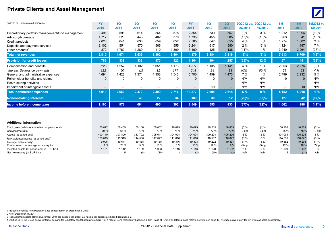#### **Private Clients and Asset Management**



| (In EUR m., unless stated otherwise)                                          | <b>FY</b><br>2010        | 1Q<br>2011        | 2Q<br>2011               | 3Q<br>2011        | <b>4Q</b><br>2011        | <b>FY</b><br>2011        | 1Q<br>2012        | 2Q<br>2012        | 2Q2011       | 2Q2012 vs. 2Q2012 vs.<br>1Q2012 | 6M<br>2011               | <b>6M</b><br>2012 | 6M2012 vs.<br>6M2011 |
|-------------------------------------------------------------------------------|--------------------------|-------------------|--------------------------|-------------------|--------------------------|--------------------------|-------------------|-------------------|--------------|---------------------------------|--------------------------|-------------------|----------------------|
| Discretionary portfolio management/fund management                            | 2,491                    | 598               | 614                      | 564               | 578                      | 2,354                    | 539               | 557               | (9)%         | 3 %                             | 1,212                    | 1,096             | (10)%                |
| Advisory/brokerage                                                            | 1,717                    | 520               | 443                      | 402               | 370                      | 1,735                    | 455               | 385               | (13)%        | (15)%                           | 963                      | 841               | (13)%                |
| Credit products                                                               | 2.628                    | 641               | 633                      | 659               | 652                      | 2.585                    | 647               | 655               | 4 %          | 1%                              | 1.274                    | 1.302             | 2%                   |
| Deposits and payment services                                                 | 2,102                    | 554               | 570                      | 566               | 555                      | 2,244                    | 617               | 580               | 2%           | (6)%                            | 1,124                    | 1,197             | 7%                   |
| Other products <sup>1</sup>                                                   | 872                      | 1,760             | 1,280                    | 1,110             | 1,309                    | 5,460                    | 1,125             | 1,138             | (11)%        | 1%                              | 3,040                    | 2,264             | (26)%                |
| <b>Total net revenues</b>                                                     | 9,810                    | 4,074             | 3,539                    | 3,302             | 3,464                    | 14,379                   | 3,384             | 3,316             | (6)%         | (2)%                            | 7,613                    | 6,700             | (12)%                |
| <b>Provision for credit losses</b>                                            | 785                      | 338               | 333                      | 370               | 322                      | 1,364                    | 194               | 257               | (23)%        | 32 %                            | 671                      | 451               | (33)%                |
| Compensation and benefits                                                     | 3,225                    | 1.252             | 1.102                    | 1.051             | 1.173                    | 4,577                    | 1,135             | 1,141             | 4 %          | 1%                              | 2,353                    | 2.276             | (3)%                 |
| therein: Severance payments                                                   | 122                      | 60                | (1)                      | 11                | 177                      | 248                      | 24                | 38                | N/M          | 60 %                            | 59                       | 61                | 4 %                  |
| General and administrative expenses                                           | 4,694                    | 1,428             | 1,371                    | 1,358             | 1,543                    | 5,700                    | 1,459             | 1,473             | 7%           | 1%                              | 2,799                    | 2,932             | 5 %                  |
| Policyholder benefits and claims                                              | $\mathbf 0$              | $\mathbf{0}$      | $\Omega$                 | $\Omega$          | 0                        | $\Omega$                 | 0                 | $\Omega$          | N/M          | N/M                             | $\Omega$                 |                   | N/M                  |
| Restructuring activities                                                      | $\overline{\phantom{m}}$ | -                 | $\overline{\phantom{0}}$ |                   | $\overline{\phantom{0}}$ | $\overline{\phantom{m}}$ | $\qquad \qquad$   | $\qquad \qquad -$ | N/M          | N/M                             | $\overline{\phantom{m}}$ |                   | N/M                  |
| Impairment of intangible assets                                               |                          |                   |                          |                   | $\overline{\phantom{a}}$ | $\overline{\phantom{m}}$ | 10                | $\qquad \qquad -$ | N/M          | N/M                             | —                        | 10                | N/M                  |
| <b>Total noninterest expenses</b>                                             | 7,919                    | 2,680             | 2,473                    | 2,409             | 2,716                    | 10,277                   | 2,604             | 2,614             | 6 %          | 0%                              | 5,152                    | 5,218             | 1%                   |
| <b>Noncontrolling interests</b>                                               | 6 <sup>1</sup>           | 78                | 49                       | 27                | 34                       | 189                      | 30                | 12                | (76)%        | (60)%                           | 127                      | 42                | (67)%                |
| Income before income taxes                                                    | 1,100                    | 978               | 684                      | 495               | 392                      | 2,549                    | 555               | 433               | (37)%        | (22)%                           | 1,662                    | 988               | (41)%                |
|                                                                               |                          |                   |                          |                   |                          |                          |                   |                   |              |                                 |                          |                   |                      |
| <b>Additional information</b>                                                 |                          |                   |                          |                   |                          |                          |                   |                   |              |                                 |                          |                   |                      |
| Employees (full-time equivalent, at period end)                               | 50,822                   | 50,409            | 50,186                   | 50,062            | 49,079                   | 49,079                   | 49,219            | 48,809            | (3)%         | (1)%                            | 50,186                   | 48,809            | (3)%                 |
| Cost/income ratio                                                             | 81%                      | 66 %              | 70 %                     | 73 %              | 78 %                     | 71 %                     | 77 %              | 79 %              | 9 ppt        | 2 ppt                           | 68 %                     | 78 %              | 10 ppt               |
| Assets (at period end)                                                        | 400,110                  | 397,800           | 383,702                  | 395,611           | 394,094                  | 394,094                  | 399,294           | 406,226           | 6 %          | 2%                              | 394,094 <sup>2)</sup>    | 406,226           | 3%                   |
| Risk-weighted assets (at period end) <sup>3</sup>                             | 123,613<br>9,906         | 119,915<br>19,641 | 114,506<br>19,468        | 117.077<br>19,188 | 111,816<br>19,316        | 111,816<br>19,393        | 110,557<br>19,222 | 110,877<br>19,331 | (3)%<br>(1)% | $0\%$<br>1%                     | 114,506<br>19,552        | 110,877<br>19,298 | (3)%<br>(1)%         |
| Average active equity <sup>4</sup><br>Pre-tax return on average active equity | 11 %                     | 20 %              | 14 %                     | 10 %              | 8 %                      | 13 %                     | 12 %              | 9%                | $(5)$ ppt    | $(3)$ ppt                       | 17 %                     | 10 %              | $(7)$ ppt            |
| Invested assets (at period end, in EUR bn.)                                   | 1,131                    | 1,112             | 1,109                    | 1,083             | 1,116                    | 1,116                    | 1,128             | 1,132             | 2%           | $0\%$                           | 1,109                    | 1,132             | 2%                   |
| Net new money (in EUR bn.)                                                    | $\mathbf{1}$             | 5                 | (0)                      | (10)              | 3                        | (2)                      | (10)              | (2)               | N/M          | N/M                             | 5                        | (11)              | N/M                  |

1 Includes revenues from Postbank since consolidation on December 3, 2010.

2 As of December 31, 2011.

3 Risk weighted assets starting December 2011 are based upon Basel 2.5 rules; prior periods are based upon Basel 2.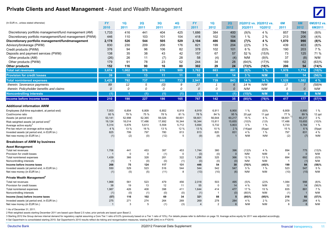#### **Private Clients and Asset Management** - Asset and Wealth Management **<sup>0</sup>**



| (In EUR m., unless stated otherwise)                                                    | <b>FY</b>        | 1Q                 | 2Q               | 3Q               | 4Q                 | <b>FY</b>        | 1Q               | 2Q               |               | 2Q2012 vs. 2Q2012 vs. | 6M               | 6M                 | 6M2012 vs.   |
|-----------------------------------------------------------------------------------------|------------------|--------------------|------------------|------------------|--------------------|------------------|------------------|------------------|---------------|-----------------------|------------------|--------------------|--------------|
|                                                                                         | 2010             | 2011               | 2011             | 2011             | 2011               | 2011             | 2012             | 2012             | <b>2Q2011</b> | 1Q2012                | 2011             | 2012               | 6M2011       |
| Discretionary portfolio management/fund management (AM)                                 | 1,733            | 416                | 441              | 404              | 425                | 1,686            | 384              | 400              | (9)%          | 4 %                   | 857              | 784                | (9)%         |
| Discretionary portfolio management/fund management (PWM)                                | 446              | 110                | 103              | 101              | 104                | 418              | 102              | 104              | 1%            | 2%                    | 213              | 206                | (4)%         |
| Discretionary portfolio management/fundmanagement                                       | 2,178            | 526                | 544              | 505              | 529                | 2,104            | 486              | 504              | (7)%          | 4 %                   | 1,070            | 990                | (8)%         |
| Advisory/brokerage (PWM)                                                                | 830              | 230                | 209              | 206              | 176                | 821              | 199              | 204              | (2)%          | 3 %                   | 439              | 403                | (8)%         |
| Credit products (PWM)                                                                   | 376              | 94                 | 96               | 106              | 82                 | 378              | 102              | 101              | 6 %           | (0)%                  | 190              | 203                | 7%           |
| Deposits and payment services (PWM)                                                     | 138              | 35                 | 38               | 43               | 42                 | 157              | 67               | 57               | 52 %          | (15)%                 | 73               | 125                | 71 %         |
| Other products (AM)                                                                     | (26)             | 26                 | 11               | (7)              | 28                 | 58               | (4)              | (4)              | N/M           | (9)%                  | 37               | (8)                | N/M          |
| Other products (PWM)                                                                    | 179              | 91                 | 78               | 23               | 52                 | 244              | 34               | 28               | (64)%         | (17)%                 | 169              | 62                 | (63)%        |
| <b>Other products</b>                                                                   | 152              | 116                | 90               | 16               | 80                 | 302              | 29               | 24               | (73)%         | (18)%                 | 206              | 54                 | (74)%        |
| <b>Total net revenues</b>                                                               | 3,674            | 1,002              | 976              | 876              | 909                | 3,762            | 883              | 891              | (9)%          | $1\%$                 | 1,978            | 1,774              | $(10)\%$     |
| <b>Provision for credit losses</b>                                                      | 39               | 19                 | 13               | 11               | 11                 | 55               | $\mathbf{0}$     | 14               | 3%            | N/M                   | 32               | 14                 | (56)%        |
| <b>Total noninterest expenses</b>                                                       | 3,426            | 792                | 737              | 680              | 733                | 2,941            | 739              | 843              | 14 %          | 14 %                  | 1,528            | 1,582              | 4%           |
| therein: Severance payments                                                             | 89               | 12                 | 5                | (0)              | 9                  | 27               | $\mathbf{1}$     | 6                | 14 %          | N/M                   | 17               | 7                  | (58)%        |
| therein: Policyholder benefits and claims                                               | 0                | 0                  | 0                | $\theta$         | 0                  | 0                | 0                | $\mathcal{O}$    | N/M           | N/M                   | 0                | $\boldsymbol{0}$   | N/M          |
| <b>Noncontrolling interests</b>                                                         | (1)              | 1                  | (1)              | (1)              | (1)                | (1)              | -1               | (1)              | (15)%         | N/M                   | $\mathbf{0}$     | $\mathbf{0}$       | N/M          |
| Income before income taxes                                                              | 210              | 190                | 227              | 186              | 165                | 767              | 142              | 35               | (85)%         | (76)%                 | 417              | 177                | (57)%        |
| <b>Additional information AWM</b>                                                       |                  |                    |                  |                  |                    |                  |                  |                  |               |                       |                  |                    |              |
| Employees (full-time equivalent, at period end)                                         | 7,003            | 6,854              | 6,809            | 6,852            | 6,919              | 6,919            | 6,911            | 6,900            | 1%            | $(0)\%$               | 6,809            | 6,900              | 1%           |
| Cost/income ratio                                                                       | 93 %             | 79 %               | 75 %             | 78 %             | 81%                | 78 %             | 84 %             | 95 %             | 20 ppt        | 11 ppt                | 77 %             | 89 %               | 12 ppt       |
| Assets (at period end)                                                                  | 53,141<br>19,124 | 52,998<br>18,014   | 52,365<br>17,486 | 59,026<br>17,692 | 58,601<br>16,344   | 58,601<br>16,344 | 56,644<br>15,811 | 60,217<br>15,655 | 15 %<br>(10)% | 6 %<br>(1)%           | 58,601<br>17,486 | 60,217<br>15,655   | 3%<br>(10)%  |
| Risk-weighted assets (at period end) <sup>2</sup><br>Average active equity <sup>®</sup> | 5,314            | 5,876              | 5,613            | 5,558            | 5,712              | 5,694            | 5,732            | 5,803            | 3%            | 1%                    | 5,733            | 5,784              | 1%           |
| Pre-tax return on average active equity                                                 | 4 %              | 13 %               | 16 %             | 13 %             | 12 %               | 13 %             | 10 %             | 2%               | $(14)$ ppt    | $(8)$ ppt             | 15 %             | 6 %                | $(9)$ ppt    |
| Invested assets (at period end, in EUR bn.)                                             | 825              | 799                | 797              | 780              | 813                | 813              | 820              | 831              | 4 %           | 1%                    | 797              | 831                | 4 %          |
| Net new money (in EUR bn.)                                                              | (1)              | (2)                | (0)              | (12)             | 5                  | (9)              | (8)              |                  | N/M           | N/M                   | (2)              | (7)                | N/M          |
| <b>Breakdown of AWM by business</b>                                                     |                  |                    |                  |                  |                    |                  |                  |                  |               |                       |                  |                    |              |
| <b>Asset Management</b>                                                                 |                  |                    |                  |                  |                    |                  |                  |                  |               |                       |                  |                    |              |
| Total net revenues<br>Provision for credit losses                                       | 1,706            | 441<br>$\mathbf 0$ | 453<br>$\Omega$  | 397<br>(1)       | 453<br>$\mathbf 0$ | 1,744<br>(0)     | 380<br>(0)       | 396<br>$\Omega$  | (13)%<br>N/M  | 4 %<br>N/M            | 894<br>$\Omega$  | 775<br>$\mathbf 0$ | (13)%<br>N/M |
| Total noninterest expenses                                                              | 1,439            | 366                | 328              | 281              | 322                | 1,298            | 325              | 366              | 12 %          | 13 %                  | 694              | 692                | $(0)$ %      |
| Noncontrolling interests                                                                | (1)              | $\mathbf 1$        | (0)              | (0)              | (1)                | (0)              | (0)              | (0)              | N/M           | N/M                   | $\overline{1}$   | (1)                | N/M          |
| Income before income taxes                                                              | 268              | 75                 | 124              | 117              | 131                | 446              | 54               | 30               | (76)%         | (45)%                 | 199              | 84                 | (58)%        |
| Invested assets (at period end, in EUR bn.)<br>Net new money (in EUR bn.)               | 550<br>(1)       | 529<br>(5)         | 523<br>(5)       | 516<br>(11)      | 544<br>8           | 544<br>(13)      | 542<br>(10)      | 547<br>(6)       | 5 %<br>N/M    | 1%<br>N/M             | 523<br>(10)      | 547<br>(15)        | 5 %<br>N/M   |
|                                                                                         |                  |                    |                  |                  |                    |                  |                  |                  |               |                       |                  |                    |              |
| Private Wealth Management <sup>4</sup><br>Total net revenues                            | 1,968            | 561                | 523              | 479              | 456                | 2,018            | 503              | 495              |               | (2)%                  | 1,084            | 998                | $(8)\%$      |
| Provision for credit losses                                                             | 38               | 19                 | 13               | 12               | 11                 | 55               | 0                | 14               | (5)%<br>4 %   | N/M                   | 32               | 14                 | (56)%        |
| Total noninterest expenses                                                              | 1,987            | 426                | 408              | 398              | 411                | 1,644            | 414              | 477              | 17 %          | 15 %                  | 835              | 891                | 7 %          |
| Noncontrolling interests                                                                | (1)              | (0)                | (1)              | (0)              | (0)                | (1)              | $\overline{1}$   | (0)              | (80)%         | N/M                   | (1)              |                    | N/M          |
| Income (loss) before income taxes                                                       | (57)             | 116                | 102              | 69               | 34                 | 321              | 88               | 5                | (95)%         | (95)%                 | 218              | 93                 | (57)%        |
| Invested assets (at period end, in EUR bn.)                                             | 275              | 271                | 274              | 264              | 269                | 269              | 278              | 284              | 4 %           | 2%                    | 274              | 284                | 4 %          |
| Net new money (in EUR bn.)                                                              |                  | 3                  | .5               | (1)              | (3)                | $\overline{4}$   | $\overline{2}$   | 6                | N/M           | N/M                   | 8                | 8                  | N/M          |

1 As of December 31, 2011.

2 Risk weighted assets starting December 2011 are based upon Basel 2.5 rules; prior periods are based upon Basel 2.

3 Starting 2012 the Group derives internal demand for regulatory capital assuming a Core Tier 1 ratio of 9.0% (previously based on a Tier 1 ratio of 10%). For details please refer to definition on page 19. Average active e 4 Sal Oppenheim is consolidated starting 2010; Sal Oppenheim's 2010 results reflect de-risking and reorganisation measures, totaling EUR (244) m in FY2010.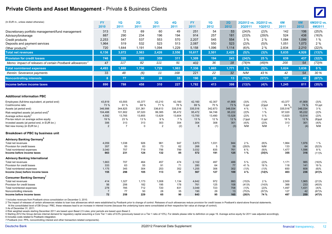#### **Private Clients and Asset Management - Private & Business Clients**



| (In EUR m., unless stated otherwise)                                 | <b>FY</b><br>2010     | 1Q<br>2011     | 2Q<br>2011     | 3Q<br>2011     | <b>4Q</b><br>2011 | <b>FY</b><br>2011 | 1Q<br>2012     | 2Q<br>2012      | <b>2Q2011</b> | 2Q2012 vs. 2Q2012 vs.<br><b>1Q2012</b> | 6M<br>2011            | 6M<br>2012      | 6M2012 vs.<br>6M2011 |
|----------------------------------------------------------------------|-----------------------|----------------|----------------|----------------|-------------------|-------------------|----------------|-----------------|---------------|----------------------------------------|-----------------------|-----------------|----------------------|
| Discretionary portfolio management/fund management                   | 313                   | 72             | 69             | 60             | 49                | 251               | 54             | 53              | (24)%         | (2)%                                   | 142                   | 106             | (25)%                |
| Advisory/brokerage                                                   | 887                   | 290            | 234<br>537     | 196<br>553     | 194               | 914               | 257            | 181<br>554      | (23)%<br>3 %  | (29)%                                  | 524                   | 438             | (16)%                |
| Credit products<br>Deposits and payment services                     | 2,253<br>1,964        | 547<br>519     | 532            | 523            | 570<br>513        | 2,207<br>2,087    | 545<br>550     | 523             | (2)%          | 2%<br>(5)%                             | 1,084<br>1,051        | 1,099<br>1,073  | 1%<br>$2\%$          |
|                                                                      | 720                   | 1.644          | 1,191          | 1,094          | 1,229             | 5,158             | 1,096          | 1,114           | (6)%          | 2%                                     | 2.834                 | 2.210           | (22)%                |
| Other products <sup>1</sup><br><b>Total net revenues</b>             | 6,136                 | 3,072          | 2,563          | 2,426          | 2,556             | 10,617            | 2,501          | 2,425           | (5)%          | (3)%                                   | 5,635                 | 4,926           | (13)%                |
| <b>Provision for credit losses</b>                                   | 746                   | 320            | 320            | 359            | 311               | 1,309             | 194            | 243             | (24)%         | 25 %                                   | 639                   | 437             | (32)%                |
| Memo: Impact of releases of certain Postbank allowances <sup>2</sup> | 47                    | 117            | 82             | 111            | 91                | 402               | 36             | 18              | (78)%         | (49)%                                  | 200                   | 54              | (73)%                |
| <b>Total noninterest expenses</b>                                    | 4,493                 | 1,888          | 1,736          | 1,729          | 1,983             | 7,336             | 1,865          | 1,771           | 2%            | (5)%                                   | 3,624                 | 3,636           | $0\%$                |
| therein: Severance payments                                          | 33                    | 48             | (6)            | 11             | 168               | 221               | 22             | 32              | N/M           | 43 %                                   | 42                    | 54              | 30 %                 |
| <b>Noncontrolling interests</b>                                      | 8                     | 77             | 50             | 28             | 35                | 190               | 29             | 13              | (75)%         | (57)%                                  | 127                   | 42              | (67)%                |
| Income before income taxes                                           | 890                   | 788            | 458            | 310            | 227               | 1,782             | 413            | 398             | (13)%         | (4)%                                   | 1,245                 | 811             | (35)%                |
|                                                                      |                       |                |                |                |                   |                   |                |                 |               |                                        |                       |                 |                      |
| <b>Additional information PBC</b>                                    |                       |                |                |                |                   |                   |                |                 |               |                                        |                       |                 |                      |
| Employees (full-time equivalent, at period end)                      | 43,819                | 43,555<br>61%  | 43,377<br>68 % | 43,210<br>71 % | 42,160<br>78 %    | 42,160            | 42,307<br>75 % | 41,909          | (3)%          | (1)%                                   | 43,377                | 41,909          | (3)%                 |
| Cost/income ratio<br>Assets (at period end)                          | 73 %<br>346,998       | 344,825        | 331,361        | 336,613        | 335,516           | 69 %<br>335,516   | 342,673        | 73 %<br>346,034 | 5 ppt<br>4 %  | $(2)$ ppt<br>1%                        | 64 %<br>$335,516^{3}$ | 74 %<br>346,034 | 10 ppt<br>3%         |
| Risk-weighted assets (at period end) <sup>4</sup>                    | 104,488               | 101,902        | 97,020         | 99,385         | 95,472            | 95,472            | 94,746         | 95,222          | (2)%          | 1%                                     | 97,020                | 95,222          | (2)%                 |
| Average active equity <sup>b</sup>                                   | 4,592                 | 13,765         | 13,855         | 13,629         | 13,604            | 13,700            | 13,490         | 13,528          | (2)%          | 0%                                     | 13,820                | 13,514          | (2)%                 |
| Pre-tax return on average active equity                              | 19 %                  | 23 %           | 13 %           | 9 %            | 7 %               | 13 %              | 12 %           | 12 %            | $(1)$ ppt     | 0 ppt                                  | 18 %                  | 12 %            | $(6)$ ppt            |
| Invested assets (at period end, in EUR bn.)                          | 306                   | 313            | 313            | 303            | 304               | 304               | 308            | 301             | (4)%          | (2)%                                   | 313                   | 301             | (4)%                 |
| Net new money (in EUR bn.)                                           | 2                     | $\overline{7}$ | 0              | $\overline{2}$ | (2)               | 8                 | (1)            | (3)             | N/M           | N/M                                    | $\overline{7}$        | (4)             | N/M                  |
| Breakdown of PBC by business unit                                    |                       |                |                |                |                   |                   |                |                 |               |                                        |                       |                 |                      |
| <b>Advisory Banking Germany</b> <sup>6</sup>                         |                       |                |                |                |                   |                   |                |                 |               |                                        |                       |                 |                      |
| Total net revenues                                                   | 4,059                 | 1,038          | 926            | 961            | 947               | 3,873             | 1,031          | 944             | 2%            | (8)%                                   | 1,964                 | 1,976           | 1%                   |
| Provision for credit losses<br>Total noninterest expenses            | 357<br>3,040          | 50<br>757      | 83<br>719      | 73<br>756      | 62<br>799         | 268<br>3,032      | 5<br>835       | 59<br>761       | (29)%<br>6 %  | N/M<br>(9)%                            | 133<br>1,477          | 64<br>1,596     | (52)%<br>8 %         |
| Income before income taxes                                           | 663                   | 231            | 124            | 132            | 85                | 572               | 191            | 125             | 1%            | (35)%                                  | 355                   | 316             | (11)%                |
| <b>Advisory Banking International</b>                                |                       |                |                |                |                   |                   |                |                 |               |                                        |                       |                 |                      |
| Total net revenues                                                   | 1,663                 | 707            | 464            | 457            | 474               | 2,102             | 497            | 488             | 5 %           | (2)%                                   | 1,171                 | 985             | (16)%                |
| Provision for credit losses                                          | 333                   | 63             | 55             | 91             | 71                | 280               | 64             | 77              | 41 %          | 19 %                                   | 118                   | 141             | 19 %                 |
| Total noninterest expenses<br>Income (loss) before income taxes      | 1,175<br>155          | 345<br>298     | 304<br>105     | 253<br>113     | 352<br>51         | 1,255<br>567      | 306<br>127     | 302<br>109      | (1)%<br>4 %   | (1)%<br>(14)%                          | 650<br>403            | 608<br>236      | (6)%<br>(41)%        |
| Consumer Banking Germany                                             |                       |                |                |                |                   |                   |                |                 |               |                                        |                       |                 |                      |
| Total net revenues                                                   | 414                   | 1,327          | 1,173          | 1,008          | 1,134             | 4,642             | 972            | 993             | (15)%         | 2%                                     | 2,500                 | 1,965           | (21)%                |
| Provision for credit losses                                          | 56                    | 206            | 182            | 195            | 178               | 761               | 125            | 108             | (41)%         | (14)%                                  | 388                   | 233             | (40)%                |
| Total noninterest expenses<br>Noncontrolling interests               | 278<br>$\overline{7}$ | 785<br>77      | 712<br>50      | 720<br>28      | 831<br>35         | 3,049<br>190      | 723<br>29      | 708<br>13       | (1)%<br>(75)% | (2)%<br>(57)%                          | 1,497<br>127          | 1,431<br>42     | (4)%<br>(67)%        |
| Income before income taxes                                           | 72                    | 258            | 229            | 65             | 90                | 643               | 95             | 165             | (28)%         | 74 %                                   | 487                   | 259             | (47)%                |

1 Includes revenues from Postbank since consolidation on December 3, 2010.

2 The impact of releases of certain allowances relates to loan loss allowances which were established by Postbank prior to change of control. Releases of such allowances reduce provision for credit losses in Postbank's sta

At the consolidated level of DB Group / PBC, these releases lead to an increase in interest income (because the underlying loans were consolidated at their respective fair value at change of control).

3 As of December 31, 2011.

4 Risk weighted assets starting December 2011 are based upon Basel 2.5 rules; prior periods are based upon Basel 2.

5 Starting 2012 the Group derives internal demand for regulatory capital assuming a Core Tier 1 ratio of 9.0% (previously based on a Tier 1 ratio of 10%). For details please refer to definition on page 19. Average active e

6 Includes costs related to Postbank integration.

7 Postbank (incl. PPA, noncontrolling interest and other transaction-related components).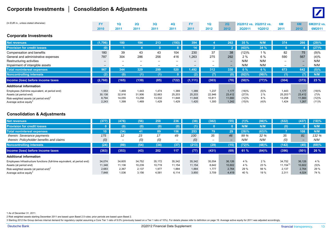#### **Corporate Investments │ Consolidation & Adjustments**



| (In EUR m., unless stated otherwise) |      | <b>2Q</b> | 3 <sub>O</sub> | 40   |      | 10 <sup>°</sup> | 2Q   |               | 2Q2012 vs. 2Q2012 vs. | 6M   |      | $^{\circ}$ 6M2012 vs. |
|--------------------------------------|------|-----------|----------------|------|------|-----------------|------|---------------|-----------------------|------|------|-----------------------|
|                                      | 2010 | 2011      | 2011           | 2011 | 2011 | 2012            | 2012 | <b>2Q2011</b> | <b>1Q2012</b>         | 2011 | 2012 | 6M2011                |
| <b>Corporate Investments</b>         |      |           |                |      |      |                 |      |               |                       |      |      |                       |

| <b>Net revenues</b>                             | (1,796) | 180                      | 194                      | 213    | (193)                    | 394                      |                          | 262                      | 35%   | N/M   | 374                      | 266                      | (29)%   |
|-------------------------------------------------|---------|--------------------------|--------------------------|--------|--------------------------|--------------------------|--------------------------|--------------------------|-------|-------|--------------------------|--------------------------|---------|
| <b>Provision for credit losses</b>              | 0)      |                          |                          |        | 8                        | 14                       |                          |                          | (43)% | 34%   |                          |                          | (27)%   |
| Compensation and benefits                       | 180     | 39                       | 43                       | 43     | 104                      | 230                      | 37                       | 38                       | (12)% | 1%    | 82                       | 75                       | (9)%    |
| General and administrative expenses             | 787     | 304                      | 286                      | 256    | 416                      | 1,263                    | 275                      | 292                      | 2%    | 6 %   | 590                      | 567                      | (4)%    |
| Restructuring activities                        | -       | $\overline{\phantom{0}}$ |                          | -      | $\overline{\phantom{0}}$ |                          | $\overline{\phantom{0}}$ | $-$                      | N/M   | N/M   | $\overline{\phantom{0}}$ | $\overline{\phantom{0}}$ | N/M     |
| Impairment of intangible assets                 | $-$     | $\overline{\phantom{0}}$ | $\overline{\phantom{0}}$ | –      | $\overline{\phantom{a}}$ | $\overline{\phantom{0}}$ | $\overline{\phantom{0}}$ | $\overline{\phantom{0}}$ | N/M   | N/M   |                          | $\overline{\phantom{0}}$ | N/M     |
| <b>Total noninterest expenses</b>               | 967     | 344                      | 329                      | 299    | 520                      | 1.492                    | 312                      | 330                      | 0%    | 6%    | 673                      | 642                      | $(5)\%$ |
| <b>Noncontrolling interests</b>                 | (2)     | (0)                      | (1)                      | (1)    | $\mathbf{0}$             | (2)                      | (7)                      |                          | (92)% | (99)% | (1)                      | 7).                      | N/M     |
| Income (loss) before income taxes               | (2,760) | (165)                    | (139)                    | (85)   | (722)                    | (1, 111)                 | (303)                    | (70)                     | (50)% | (77)% | (304)                    | (373)                    | 23 %    |
| <b>Additional information</b>                   |         |                          |                          |        |                          |                          |                          |                          |       |       |                          |                          |         |
| Employees (full-time equivalent, at period end) | 1,553   | 1,469                    | 1.443                    | 1.474  | 1,389                    | 1,389                    | 1,237                    | 1.177                    | (18)% | (5)%  | 1,443                    | 1,177                    | (18)%   |
| Assets (at period end)                          | 30,138  | 32,916                   | 31,906                   | 32,663 | 25,203                   | 25,203                   | 22,946                   | 23,412                   | (27)% | 2%    | 25,2031                  | 23,412                   | (7)%    |
| Risk-weighted assets (at period end) $2$        | 8,794   | 14,055                   | 13.258                   | 13.532 | 11,848                   | 11,848                   | 10,811                   | 11,660                   | (12)% | 8 %   | 13,258                   | 11,660                   | (12)%   |
| Average active equity <sup>3</sup>              | 2,243   | 1.399                    | 1.469                    | 1.429  | 1.429                    | 1,420                    | 1,300                    | 1,242                    | (15)% | (4)%  | 1,424                    | 1,267                    | (11)%   |

#### **Consolidation & Adjustments**

| <b>Net revenues</b>                                                      | (377   | (476)                    | (56)   | 258    | 236                          | (38)   | (382)                    | (55)   | (1)%  | (86)% | (532)        | (437)  | (18)% |
|--------------------------------------------------------------------------|--------|--------------------------|--------|--------|------------------------------|--------|--------------------------|--------|-------|-------|--------------|--------|-------|
| <b>Provision for credit losses</b>                                       |        | (0)                      | (0)    | (0)    | (0)                          | '1)    |                          |        | N/M   | N/M   | (0)          |        | N/M   |
| <b>Total noninterest expenses</b>                                        | 10     | (34)                     | 41     | 89     | 156'                         | 253    | 79                       | 29     | (29)% | (63)% |              | 108    | N/M   |
| therein: Severance payments                                              | 175    | 12                       | 23     | 17     | 49                           | 100    | 35                       | 46     | 99 %  | 32 %  | 35           | 81     | 132 % |
| therein: Policyholder benefits and claims                                | (0)    | $\overline{\phantom{0}}$ | (0)    | (0)    | $\qquad \qquad \blacksquare$ | (0)    | $\overline{\phantom{0}}$ | -      | N/M   | N/M   | (0)          |        | N/M   |
| <b>Noncontrolling interests</b>                                          | 24)    | (89)                     | (54)   | (34)   | (37)                         | (213)  | (29)                     | (15)   | (72)% | (48)% | (142)        | (45)   | (69)% |
| Income (loss) before income taxes                                        | (363)  | (353)                    | (43)   | 202    | 117                          | (77)   | (431)                    | (69)   | 61 %  | (84)% | (396)        | (501)  | 26 %  |
| <b>Additional information</b>                                            |        |                          |        |        |                              |        |                          |        |       |       |              |        |       |
| Employees Infrastructure functions (full-time equivalent, at period end) | 34,074 | 34.605                   | 34.752 | 35.172 | 35,342                       | 35,342 | 35,554                   | 36,126 | 4 %   | 2%    | 34.752       | 36,126 | 4%    |
| Assets (at period end)                                                   | 11,348 | 11.136                   | 10.239 | 10.719 | 11,154                       | 11.154 | 8.642                    | 10,602 | 4 %   | 23 %  | $11.154^{1}$ | 10,602 | (5)%  |
| Risk-weighted assets (at period end) <sup>2</sup>                        | 2,683  | 2.367                    | 2.137  | 1.977  | 1,884                        | 1,884  | 1.777                    | 2,764  | 29 %  | 56 %  | 2,137        | 2,764  | 29 %  |
| Average active equity <sup>®</sup>                                       | 7.848  | 1.536                    | 3.156  | 4.581  | 6.114                        | 3,850  | 3,709                    | 4,419  | 40 %  | 19 %  | 2.311        | 4,024  | 74 %  |

1 As of December 31, 2011.

2 Risk weighted assets starting December 2011 are based upon Basel 2.5 rules; prior periods are based upon Basel 2.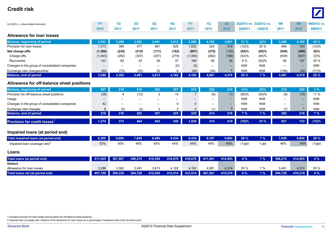#### **Credit risk** $\mathbf{D}$



1 Includes provision for loan losses and provision for off-balance sheet positions.

2 Impaired loan coverage ratio: balance of the allowance for loan losses as a percentage of impaired loans (both at period end).

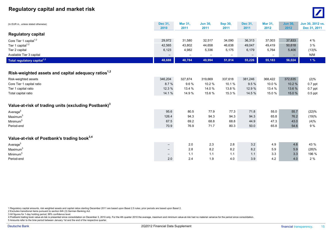#### **Regulatory capital and market risk** <sup>0</sup>



| (In EUR m., unless stated otherwise)                             | <b>Dec 31,</b><br>2010   | Mar 31,<br>2011          | <b>Jun 30,</b><br>2011   | Sep 30,<br>2011 | Dec 31,<br>2011   | <b>Mar 31,</b><br>2012 | <b>Jun 30,</b><br>2012 | Jun 30, 2012 vs.<br>Dec 31, 2011 |
|------------------------------------------------------------------|--------------------------|--------------------------|--------------------------|-----------------|-------------------|------------------------|------------------------|----------------------------------|
| <b>Regulatory capital</b>                                        |                          |                          |                          |                 |                   |                        |                        |                                  |
| Core Tier 1 capital <sup>1,2</sup>                               | 29,972                   | 31,580                   | 32,517                   | 34,090          | 36,313            | 37,003                 | 37,833                 | 4 %                              |
| Tier 1 capital $1,2$                                             | 42,565                   | 43,802                   | 44,658                   | 46,638          | 49,047            | 49,419                 | 50,618                 | 3%                               |
| Tier 2 capital                                                   | 6,123                    | 4,982                    | 5,336                    | 5,175           | 6,179             | 5,764                  | 5,406                  | (13)%                            |
| Available Tier 3 capital                                         | $\qquad \qquad -$        | $\overline{\phantom{m}}$ | $\overline{\phantom{m}}$ | —               | $\qquad \qquad -$ |                        |                        | N/M                              |
| Total regulatory capital <sup>1,2</sup>                          | 48,688                   | 48,784                   | 49,994                   | 51,814          | 55,226            | 55,183                 | 56,024                 | 1%                               |
|                                                                  |                          |                          |                          |                 |                   |                        |                        |                                  |
| Risk-weighted assets and capital adequacy ratios <sup>1,2</sup>  |                          |                          |                          |                 |                   |                        |                        |                                  |
| Risk-weighted assets                                             | 346,204                  | 327,874                  | 319,669                  | 337,618         | 381,246           | 368,422                | 372,635                | (2)%                             |
| Core Tier 1 capital ratio                                        | 8.7%                     | 9.6%                     | 10.2%                    | 10.1%           | 9.5%              | 10.0%                  | 10.2 %                 | $0.7$ ppt                        |
| Tier 1 capital ratio                                             | 12.3 %                   | 13.4 %                   | 14.0 %                   | 13.8%           | 12.9 %            | 13.4 %                 | 13.6 %                 | $0.7$ ppt                        |
| Total capital ratio                                              | 14.1 %                   | 14.9 %                   | 15.6%                    | 15.3 %          | 14.5 %            | 15.0 %                 | 15.0 %                 | $0.5$ ppt                        |
| Value-at-risk of trading units (excluding Postbank) <sup>3</sup> |                          |                          |                          |                 |                   |                        |                        |                                  |
|                                                                  |                          |                          |                          |                 |                   |                        |                        |                                  |
| Average <sup>5</sup>                                             | 95.6                     | 80.5                     | 77.9                     | 77.3            | 71.8              | 55.0                   | 55.7                   | (22)%                            |
| Maximum <sup>5</sup>                                             | 126.4                    | 94.3                     | 94.3                     | 94.3            | 94.3              | 65.8                   | 76.2                   | (19)%                            |
| Minimum <sup>5</sup>                                             | 67.5                     | 69.2                     | 68.8                     | 68.8            | 44.9              | 47.3                   | 43.0                   | (4)%                             |
| Period-end                                                       | 70.9                     | 76.9                     | 71.7                     | 80.3            | 50.0              | 65.8                   | 54.6                   | 9%                               |
| Value-at-risk of Postbank's trading book <sup>3,4</sup>          |                          |                          |                          |                 |                   |                        |                        |                                  |
| Average <sup>5</sup>                                             | $-$                      | $2.0\,$                  | 2.3                      | 2.8             | 3.2               | 4.9                    | 4.6                    | 43 %                             |
| Maximum <sup>5</sup>                                             | $\qquad \qquad -$        | 2.8                      | 8.2                      | 8.2             | 8.2               | 5.9                    | $5.9\,$                | (28)%                            |
| Minimum <sup>5</sup>                                             | $\overline{\phantom{0}}$ | 1.1                      | 1.1                      | 1.1             | 1.1               | 3.3                    | 3.3                    | 196 %                            |
| Period-end                                                       | 2.0                      | 2.4                      | 1.9                      | 4.0             | 3.9               | 4.2                    | 4.0                    | 2%                               |

1 Regulatory capital amounts, risk weighted assets and capital ratios starting December 2011 are based upon Basel 2.5 rules; prior periods are based upon Basel 2.

2 Excludes transitional items pursuant to section 64h (3) German Banking Act.

3 All figures for 1-day holding period, 99% confidence level.

4 Postbank trading book value-at-risk is presented since consolidation on December 3, 2010 only. For the 4th quarter 2010 the average, maximum and minimum value-at-risk had no material variance for the period since consoli

5 Amounts refer to the time period between January 1st and the end of the respective quarter.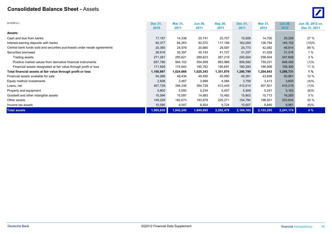#### **Consolidated Balance Sheet -** Assets $\mathbf S$



| (In EUR m.)                                                              | <b>Dec 31.</b> | <b>Mar 31,</b> | <b>Jun 30,</b> | <b>Sep 30.</b> | Dec 31,   | <b>Mar 31.</b> | <b>Jun 30,</b> | Jun 30, 2012 vs. |
|--------------------------------------------------------------------------|----------------|----------------|----------------|----------------|-----------|----------------|----------------|------------------|
|                                                                          | 2010           | 2011           | 2011           | 2011           | 2011      | 2012           | 2012           | Dec 31, 2011     |
| Assets:                                                                  |                |                |                |                |           |                |                |                  |
| Cash and due from banks                                                  | 17,157         | 14,338         | 20,741         | 23,707         | 15,928    | 14,700         | 20,258         | 27 %             |
| Interest-earning deposits with banks                                     | 92,377         | 84,263         | 92,072         | 117,189        | 162,000   | 126,784        | 145,152        | (10)%            |
| Central bank funds sold and securities purchased under resale agreements | 20,365         | 24,978         | 20,660         | 29,597         | 25,773    | 42,082         | 48,614         | 89 %             |
| Securities borrowed                                                      | 28,916         | 35,397         | 30,743         | 41,727         | 31,337    | 31,029         | 31,516         | 1%               |
| Trading assets                                                           | 271,291        | 285,621        | 289,623        | 267,219        | 240,924   | 258,504        | 247,848        | 3%               |
| Positive market values from derivative financial instruments             | 657,780        | 564,102        | 554,958        | 893,966        | 859,582   | 759,231        | 848,493        | (1)%             |
| Financial assets designated at fair value through profit or loss         | 171,926        | 174,943        | 180,762        | 190,691        | 180,293   | 186,908        | 199,390        | 11 %             |
| Total financial assets at fair value through profit or loss              | 1,100,997      | 1,024,666      | 1,025,343      | 1,351,876      | 1,280,799 | 1,204,643      | 1,295,731      | 1%               |
| Financial assets available for sale                                      | 54,266         | 48,434         | 48,490         | 45,990         | 45,281    | 43,848         | 50,861         | 12 %             |
| Equity method investments                                                | 2,608          | 3,467          | 3,999          | 4,084          | 3,759     | 3,413          | 3,600          | (4)%             |
| Loans, net                                                               | 407,729        | 394,335        | 394,728        | 412,445        | 412,514   | 407,501        | 410,219        | (1)%             |
| Property and equipment                                                   | 5,802          | 5,050          | 5,234          | 5,407          | 5,509     | 5,241          | 5,163          | $(6)\%$          |
| Goodwill and other intangible assets                                     | 15,594         | 15,097         | 14,883         | 15,462         | 15,802    | 15,713         | 16,265         | 3%               |
| Other assets                                                             | 149,229        | 182,673        | 183,878        | 225,271        | 154,794   | 198,501        | 203,834        | 32 %             |
| Income tax assets                                                        | 10,590         | 9,547          | 8,924          | 9,724          | 10,607    | 9,840          | 9,961          | (6)%             |
| <b>Total assets</b>                                                      | 1,905,630      | 1,842,245      | 1,849,695      | 2,282,479      | 2,164,103 | 2,103,295      | 2,241,174      | 4%               |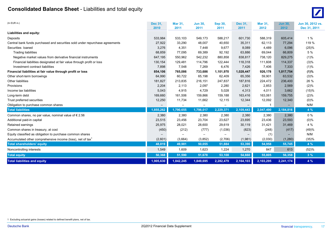### **Consolidated Balance Sheet** - Liabilities and total equity <sup>0</sup>



| (In EUR m.)                                                                  | Dec 31,<br>2010   | <b>Mar 31,</b><br>2011   | <b>Jun 30.</b><br>2011   | <b>Sep 30,</b><br>2011   | Dec 31,<br>2011   | <b>Mar 31,</b><br>2012 | <b>Jun 30,</b><br>2012 | Jun 30, 2012 vs.<br>Dec 31, 2011 |
|------------------------------------------------------------------------------|-------------------|--------------------------|--------------------------|--------------------------|-------------------|------------------------|------------------------|----------------------------------|
| Liabilities and equity:                                                      |                   |                          |                          |                          |                   |                        |                        |                                  |
| Deposits                                                                     | 533,984           | 533,103                  | 549,173                  | 588,217                  | 601,730           | 588,319                | 605,414                | 1%                               |
| Central bank funds purchased and securities sold under repurchase agreements | 27,922            | 33,290                   | 48,007                   | 40,650                   | 35,311            | 62,113                 | 77,294                 | 119 %                            |
| Securities loaned                                                            | 3,276             | 4,351                    | 7,448                    | 9,677                    | 8,089             | 4,489                  | 6,096                  | (25)%                            |
| <b>Trading liabilities</b>                                                   | 68,859            | 77,095                   | 69.389                   | 92,192                   | 63,886            | 69,044                 | 66,809                 | 5%                               |
| Negative market values from derivative financial instruments                 | 647,195           | 550,962                  | 542,232                  | 880,858                  | 838,817           | 738,120                | 829,275                | (1)%                             |
| Financial liabilities designated at fair value through profit or loss        | 130,154           | 129,481                  | 114,796                  | 122,444                  | 118,318           | 111,608                | 114,337                | (3)%                             |
| Investment contract liabilities                                              | 7,898             | 7,548                    | 7,269                    | 6,476                    | 7,426             | 7,406                  | 7,333                  | (1)%                             |
| Financial liabilities at fair value through profit or loss                   | 854,106           | 765,086                  | 733,686                  | 1,101,970                | 1,028,447         | 926,178                | 1,017,754              | (1)%                             |
| Other short-term borrowings                                                  | 64,990            | 60,722                   | 65,198                   | 62,409                   | 65,356            | 59,901                 | 63,532                 | (3)%                             |
| Other liabilities                                                            | 181,827           | 213,835                  | 216,151                  | 247,837                  | 187,816           | 224,472                | 236,400                | 26 %                             |
| Provisions                                                                   | 2,204             | 2,113                    | 2,097                    | 2,280                    | 2,621             | 2,853                  | 2,569                  | (2)%                             |
| Income tax liabilities                                                       | 5,043             | 4,915                    | 4,729                    | 5,028                    | 4,313             | 4,011                  | 3,662                  | (15)%                            |
| Long-term debt                                                               | 169,660           | 161,506                  | 159,866                  | 159,188                  | 163,416           | 163,061                | 159,755                | (2)%                             |
| Trust preferred securities                                                   | 12,250            | 11,734                   | 11,662                   | 12,115                   | 12,344            | 12,092                 | 12,340                 | $(0)\%$                          |
| Obligation to purchase common shares                                         | $\qquad \qquad -$ | $\overline{\phantom{0}}$ | $\overline{\phantom{0}}$ | $\overline{\phantom{m}}$ | $\qquad \qquad -$ |                        | $\qquad \qquad -$      | N/M                              |
| <b>Total liabilities</b>                                                     | 1,855,262         | 1,790,655                | 1,798,017                | 2,229,371                | 2,109,443         | 2,047,490              | 2,184,816              | 4%                               |
| Common shares, no par value, nominal value of $\epsilon$ 2.56                | 2,380             | 2,380                    | 2,380                    | 2,380                    | 2,380             | 2,380                  | 2,380                  | $0\%$                            |
| Additional paid-in capital                                                   | 23,515            | 23,456                   | 23,704                   | 23,627                   | 23,695            | 23,436                 | 23,593                 | $(0)\%$                          |
| Retained earnings                                                            | 25,975            | 28,021                   | 28,600                   | 29,619                   | 30,119            | 31,421                 | 31,469                 | 4 %                              |
| Common shares in treasury, at cost                                           | (450)             | (212)                    | (777)                    | (1,036)                  | (823)             | (248)                  | (417)                  | (49)%                            |
| Equity classified as obligation to purchase common shares                    |                   |                          |                          |                          |                   | (1)                    |                        | N/M                              |
| Accumulated other comprehensive income (loss), net of tax <sup>1</sup>       | (2,601)           | (3,664)                  | (3, 852)                 | (2,706)                  | (1,981)           | (2,030)                | (1,280)                | (35)%                            |
| <b>Total shareholders' equity</b>                                            | 48,819            | 49,981                   | 50,055                   | 51,884                   | 53,390            | 54,958                 | 55,745                 | 4 %                              |
| Noncontrolling interests                                                     | 1,549             | 1,609                    | 1,623                    | 1,224                    | 1,270             | 847                    | 613                    | (52)%                            |
| <b>Total equity</b>                                                          | 50,368            | 51,590                   | 51,678                   | 53,108                   | 54,660            | 55,805                 | 56,358                 | 3%                               |
| <b>Total liabilities and equity</b>                                          | 1,905,630         | 1,842,245                | 1,849,695                | 2,282,479                | 2,164,103         | 2,103,295              | 2,241,174              | 4 %                              |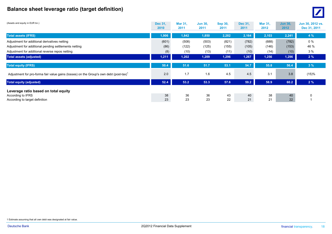### **Balance sheet leverage ratio (target definition)** <sup>0</sup>



| (Assets and equity in EUR bn.)                                                                     | <b>Dec 31.</b><br>2010 | <b>Mar 31.</b><br>2011 | <b>Jun 30.</b><br>2011 | <b>Sep 30,</b><br>2011 | <b>Dec 31.</b><br>2011 | <b>Mar 31.</b><br>2012 | <b>Jun 30,</b><br>2012 | Jun 30, 2012 vs.<br>Dec 31, 2011 |
|----------------------------------------------------------------------------------------------------|------------------------|------------------------|------------------------|------------------------|------------------------|------------------------|------------------------|----------------------------------|
| <b>Total assets (IFRS)</b>                                                                         | 1,906                  | 1,842                  | 1,850                  | 2,282                  | 2,164                  | 2,103                  | 2,241                  | 4%                               |
| Adjustment for additional derivatives netting                                                      | (601)                  | (508)                  | (503)                  | (821)                  | (782)                  | (688)                  | (782)                  | $0\%$                            |
| Adjustment for additional pending settlements netting                                              | (86)                   | (122)                  | (125)                  | (155)                  | (105)                  | (146)                  | (153)                  | 46 %                             |
| Adjustment for additional reverse repos netting                                                    | (8)                    | (10)                   | (13)                   | (11)                   | (10)                   | (14)                   | (10)                   | 3%                               |
| <b>Total assets (adjusted)</b>                                                                     | 1,211                  | 1,202                  | 1,209                  | 1,296                  | 1,267                  | 1,256                  | 1,296                  | 2%                               |
| <b>Total equity (IFRS)</b>                                                                         | 50.4                   | 51.6                   | 51.7                   | 53.1                   | 54.7                   | 55.8                   | 56.4                   | 3%                               |
| Adjustment for pro-forma fair value gains (losses) on the Group's own debt (post-tax) <sup>1</sup> | 2.0                    | 1.7                    | 1.6                    | 4.5                    | 4.5                    | 3.1                    | 3.8                    | (15)%                            |
| <b>Total equity (adjusted)</b>                                                                     | 52.4                   | 53.2                   | 53.3                   | 57.6                   | 59.2                   | 58.9                   | 60.2                   | 2%                               |
| Leverage ratio based on total equity                                                               |                        |                        |                        |                        |                        |                        |                        |                                  |
| According to IFRS                                                                                  | 38                     | 36                     | 36                     | 43                     | 40                     | 38                     | 40                     |                                  |
| According to target definition                                                                     | 23                     | 23                     | 23                     | 22                     | 21                     | 21                     | 22                     |                                  |

1 Estimate assuming that all own debt was designated at fair value.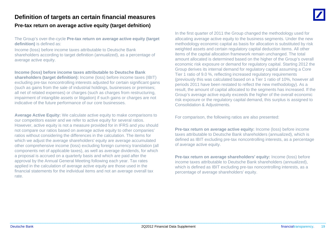### **Definition of targets an certain financial measures Pre-tax return on average active equity (target defnition)**

The Group's over-the-cycle **Pre-tax return on average active equity (target definition)** is defined as:

Income (loss) before income taxes attributable to Deutsche Bank shareholders according to target definition (annualized), as a percentage of average active equity

**Income (loss) before income taxes attributable to Deutsche Bank shareholders (target definition):** Income (loss) before income taxes (IBIT) excluding pre-tax noncontrolling interests adjusted for certain significant gains (such as gains from the sale of industrial holdings, businesses or premises; all net of related expenses) or charges (such as charges from restructuring, impairment of intangible assets or litigation) if such gains or charges are not indicative of the future performance of our core businesses.

**Average Active Equity:** We calculate active equity to make comparisons to our competitors easier and we refer to active equity for several ratios. However, active equity is not a measure provided for in IFRS and you should not compare our ratios based on average active equity to other companies' ratios without considering the differences in the calculation. The items for which we adjust the average shareholders' equity are average accumulated other comprehensive income (loss) excluding foreign currency translation (all of average active equity components net of applicable taxes), as well as average dividends, for which a proposal is accrued on a quarterly basis and which are paid after the approval by the Annual General Meeting following each year. Tax rates applied in the calculation of average active equity are those used in the financial statements for the individual items and not an average overall tax rate.

In the first quarter of 2011 the Group changed the methodology used for allocating average active equity to the business segments. Under the new methodology economic capital as basis for allocation is substituted by risk weighted assets and certain regulatory capital deduction items. All other items of the capital allocation framework remain unchanged. The total e active equity. The Group's overall and the Group's overall and the Group's overall and the Group's overall and the Group's overall and the Group's overall and the Group's overall and the Group's overall and the Group's o economic risk exposure or demand for regulatory capital. Starting 2012 the Group derives its internal demand for regulatory capital assuming a Core Tier 1 ratio of 9.0 %, reflecting increased regulatory requirements (previously this was calculated based on a Tier 1 ratio of 10%, however all periods 2011 have been restated to reflect the new methodology). As a result, the amount of capital allocated to the segments has increased. If the Group's average active equity exceeds the higher of the overall economic risk exposure or the regulatory capital demand, this surplus is assigned to Consolidation & Adjustments.

For comparison, the following ratios are also presented:

**Pre-tax return on average active equity:** Income (loss) before income taxes attributable to Deutsche Bank shareholders (annualized), which is defined as IBIT excluding pre-tax noncontrolling interests, as a percentage of average active equity.

**Pre-tax return on average shareholders' equity:** Income (loss) before income taxes attributable to Deutsche Bank shareholders (annualized), which is defined as IBIT excluding pre-tax noncontrolling interests, as a percentage of average shareholders' equity.